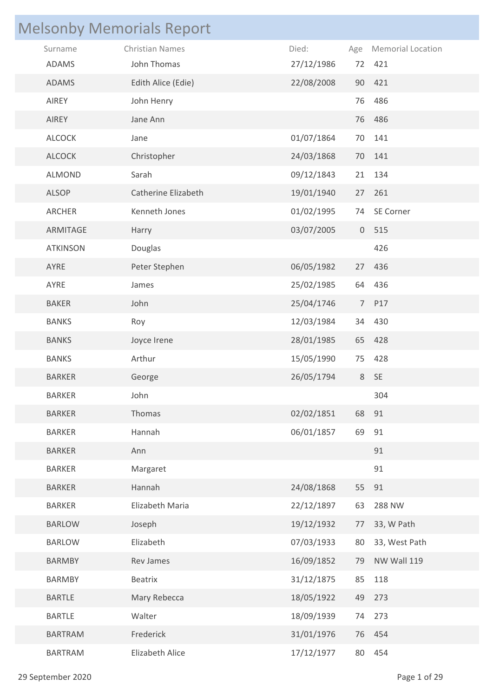|                 | <b>Melsonby Memorials Report</b> |            |     |                          |
|-----------------|----------------------------------|------------|-----|--------------------------|
| Surname         | <b>Christian Names</b>           | Died:      | Age | <b>Memorial Location</b> |
| <b>ADAMS</b>    | John Thomas                      | 27/12/1986 |     | 72 421                   |
| <b>ADAMS</b>    | Edith Alice (Edie)               | 22/08/2008 |     | 90 421                   |
| AIREY           | John Henry                       |            | 76  | 486                      |
| AIREY           | Jane Ann                         |            |     | 76 486                   |
| <b>ALCOCK</b>   | Jane                             | 01/07/1864 | 70  | 141                      |
| ALCOCK          | Christopher                      | 24/03/1868 |     | 70 141                   |
| <b>ALMOND</b>   | Sarah                            | 09/12/1843 | 21  | 134                      |
| ALSOP           | Catherine Elizabeth              | 19/01/1940 |     | 27 261                   |
| ARCHER          | Kenneth Jones                    | 01/02/1995 | 74  | SE Corner                |
| ARMITAGE        | Harry                            | 03/07/2005 |     | 0 515                    |
| <b>ATKINSON</b> | Douglas                          |            |     | 426                      |
| AYRE            | Peter Stephen                    | 06/05/1982 |     | 27 436                   |
| AYRE            | James                            | 25/02/1985 |     | 64 436                   |
| <b>BAKER</b>    | John                             | 25/04/1746 |     | 7 P17                    |
| <b>BANKS</b>    | Roy                              | 12/03/1984 |     | 34 430                   |
| <b>BANKS</b>    | Joyce Irene                      | 28/01/1985 |     | 65 428                   |
| <b>BANKS</b>    | Arthur                           | 15/05/1990 | 75  | 428                      |
| <b>BARKER</b>   | George                           | 26/05/1794 |     | 8 SE                     |
| <b>BARKER</b>   | John                             |            |     | 304                      |
| <b>BARKER</b>   | Thomas                           | 02/02/1851 | 68  | 91                       |
| <b>BARKER</b>   | Hannah                           | 06/01/1857 | 69  | 91                       |
| <b>BARKER</b>   | Ann                              |            |     | 91                       |
| <b>BARKER</b>   | Margaret                         |            |     | 91                       |
| <b>BARKER</b>   | Hannah                           | 24/08/1868 |     | 55 91                    |
| <b>BARKER</b>   | Elizabeth Maria                  | 22/12/1897 | 63  | <b>288 NW</b>            |
| <b>BARLOW</b>   | Joseph                           | 19/12/1932 | 77  | 33, W Path               |
| <b>BARLOW</b>   | Elizabeth                        | 07/03/1933 | 80  | 33, West Path            |
| <b>BARMBY</b>   | Rev James                        | 16/09/1852 | 79  | NW Wall 119              |
| <b>BARMBY</b>   | <b>Beatrix</b>                   | 31/12/1875 | 85  | 118                      |
| <b>BARTLE</b>   | Mary Rebecca                     | 18/05/1922 | 49  | 273                      |
| <b>BARTLE</b>   | Walter                           | 18/09/1939 | 74  | 273                      |
| <b>BARTRAM</b>  | Frederick                        | 31/01/1976 |     | 76 454                   |
| <b>BARTRAM</b>  | Elizabeth Alice                  | 17/12/1977 |     | 80 454                   |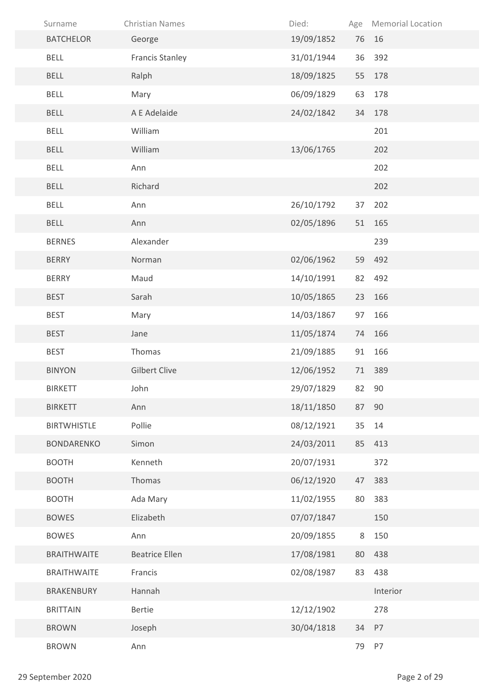| Surname            | <b>Christian Names</b> | Died:      | Age | <b>Memorial Location</b> |
|--------------------|------------------------|------------|-----|--------------------------|
| <b>BATCHELOR</b>   | George                 | 19/09/1852 |     | 76 16                    |
| <b>BELL</b>        | <b>Francis Stanley</b> | 31/01/1944 | 36  | 392                      |
| <b>BELL</b>        | Ralph                  | 18/09/1825 | 55  | 178                      |
| <b>BELL</b>        | Mary                   | 06/09/1829 | 63  | 178                      |
| <b>BELL</b>        | A E Adelaide           | 24/02/1842 | 34  | 178                      |
| <b>BELL</b>        | William                |            |     | 201                      |
| <b>BELL</b>        | William                | 13/06/1765 |     | 202                      |
| <b>BELL</b>        | Ann                    |            |     | 202                      |
| <b>BELL</b>        | Richard                |            |     | 202                      |
| <b>BELL</b>        | Ann                    | 26/10/1792 | 37  | 202                      |
| <b>BELL</b>        | Ann                    | 02/05/1896 | 51  | 165                      |
| <b>BERNES</b>      | Alexander              |            |     | 239                      |
| <b>BERRY</b>       | Norman                 | 02/06/1962 |     | 59 492                   |
| <b>BERRY</b>       | Maud                   | 14/10/1991 | 82  | 492                      |
| <b>BEST</b>        | Sarah                  | 10/05/1865 | 23  | 166                      |
| <b>BEST</b>        | Mary                   | 14/03/1867 | 97  | 166                      |
| <b>BEST</b>        | Jane                   | 11/05/1874 | 74  | 166                      |
| <b>BEST</b>        | Thomas                 | 21/09/1885 | 91  | 166                      |
| <b>BINYON</b>      | <b>Gilbert Clive</b>   | 12/06/1952 | 71  | 389                      |
| <b>BIRKETT</b>     | John                   | 29/07/1829 | 82  | 90                       |
| <b>BIRKETT</b>     | Ann                    | 18/11/1850 | 87  | 90                       |
| <b>BIRTWHISTLE</b> | Pollie                 | 08/12/1921 | 35  | 14                       |
| <b>BONDARENKO</b>  | Simon                  | 24/03/2011 | 85  | 413                      |
| <b>BOOTH</b>       | Kenneth                | 20/07/1931 |     | 372                      |
| <b>BOOTH</b>       | Thomas                 | 06/12/1920 | 47  | 383                      |
| <b>BOOTH</b>       | Ada Mary               | 11/02/1955 | 80  | 383                      |
| <b>BOWES</b>       | Elizabeth              | 07/07/1847 |     | 150                      |
| <b>BOWES</b>       | Ann                    | 20/09/1855 | 8   | 150                      |
| <b>BRAITHWAITE</b> | <b>Beatrice Ellen</b>  | 17/08/1981 | 80  | 438                      |
| <b>BRAITHWAITE</b> | Francis                | 02/08/1987 | 83  | 438                      |
| <b>BRAKENBURY</b>  | Hannah                 |            |     | Interior                 |
| <b>BRITTAIN</b>    | Bertie                 | 12/12/1902 |     | 278                      |
| <b>BROWN</b>       | Joseph                 | 30/04/1818 | 34  | P7                       |
| <b>BROWN</b>       | Ann                    |            |     | 79 P7                    |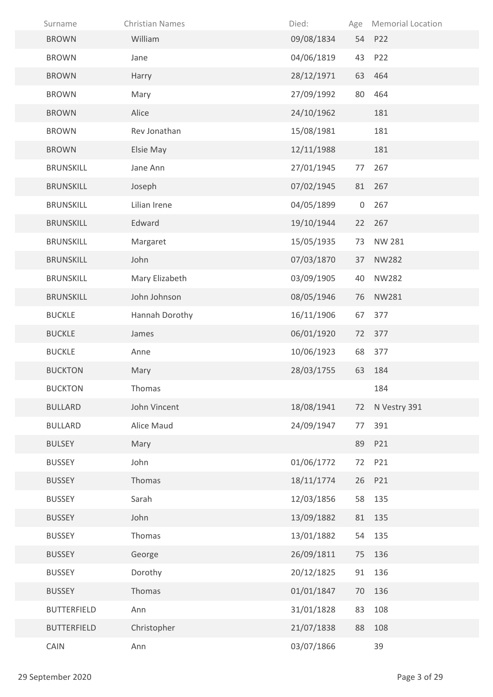| Surname            | <b>Christian Names</b> | Died:      | Age | <b>Memorial Location</b> |
|--------------------|------------------------|------------|-----|--------------------------|
| <b>BROWN</b>       | William                | 09/08/1834 |     | 54 P22                   |
| <b>BROWN</b>       | Jane                   | 04/06/1819 | 43  | P22                      |
| <b>BROWN</b>       | Harry                  | 28/12/1971 | 63  | 464                      |
| <b>BROWN</b>       | Mary                   | 27/09/1992 | 80  | 464                      |
| <b>BROWN</b>       | Alice                  | 24/10/1962 |     | 181                      |
| <b>BROWN</b>       | Rev Jonathan           | 15/08/1981 |     | 181                      |
| <b>BROWN</b>       | Elsie May              | 12/11/1988 |     | 181                      |
| <b>BRUNSKILL</b>   | Jane Ann               | 27/01/1945 | 77  | 267                      |
| <b>BRUNSKILL</b>   | Joseph                 | 07/02/1945 | 81  | 267                      |
| <b>BRUNSKILL</b>   | Lilian Irene           | 04/05/1899 | 0   | 267                      |
| <b>BRUNSKILL</b>   | Edward                 | 19/10/1944 | 22  | 267                      |
| <b>BRUNSKILL</b>   | Margaret               | 15/05/1935 | 73  | NW 281                   |
| <b>BRUNSKILL</b>   | John                   | 07/03/1870 | 37  | <b>NW282</b>             |
| <b>BRUNSKILL</b>   | Mary Elizabeth         | 03/09/1905 | 40  | <b>NW282</b>             |
| <b>BRUNSKILL</b>   | John Johnson           | 08/05/1946 | 76  | NW281                    |
| <b>BUCKLE</b>      | Hannah Dorothy         | 16/11/1906 | 67  | 377                      |
| <b>BUCKLE</b>      | James                  | 06/01/1920 | 72  | 377                      |
| <b>BUCKLE</b>      | Anne                   | 10/06/1923 | 68  | 377                      |
| <b>BUCKTON</b>     | Mary                   | 28/03/1755 | 63  | 184                      |
| <b>BUCKTON</b>     | Thomas                 |            |     | 184                      |
| <b>BULLARD</b>     | John Vincent           | 18/08/1941 | 72  | N Vestry 391             |
| <b>BULLARD</b>     | Alice Maud             | 24/09/1947 | 77  | 391                      |
| <b>BULSEY</b>      | Mary                   |            | 89  | P21                      |
| <b>BUSSEY</b>      | John                   | 01/06/1772 | 72  | P21                      |
| <b>BUSSEY</b>      | Thomas                 | 18/11/1774 |     | 26 P21                   |
| <b>BUSSEY</b>      | Sarah                  | 12/03/1856 | 58  | 135                      |
| <b>BUSSEY</b>      | John                   | 13/09/1882 | 81  | 135                      |
| <b>BUSSEY</b>      | Thomas                 | 13/01/1882 | 54  | 135                      |
| <b>BUSSEY</b>      | George                 | 26/09/1811 | 75  | 136                      |
| <b>BUSSEY</b>      | Dorothy                | 20/12/1825 | 91  | 136                      |
| <b>BUSSEY</b>      | Thomas                 | 01/01/1847 | 70  | 136                      |
| <b>BUTTERFIELD</b> | Ann                    | 31/01/1828 | 83  | 108                      |
| <b>BUTTERFIELD</b> | Christopher            | 21/07/1838 | 88  | 108                      |
| CAIN               | Ann                    | 03/07/1866 |     | 39                       |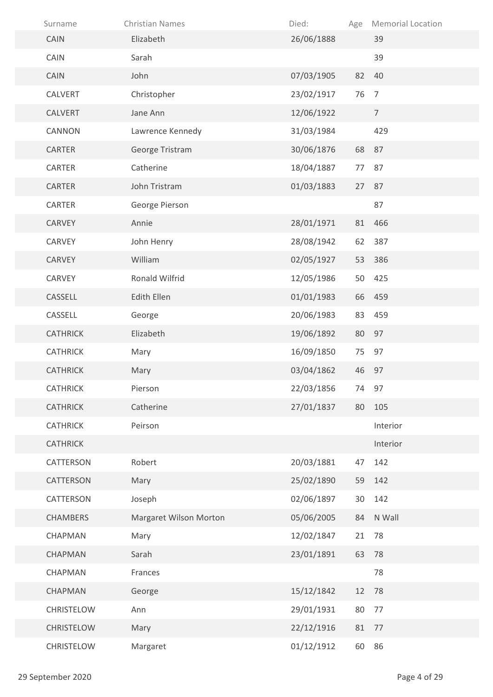| Surname           | <b>Christian Names</b> | Died:      | Age | <b>Memorial Location</b> |
|-------------------|------------------------|------------|-----|--------------------------|
| CAIN              | Elizabeth              | 26/06/1888 |     | 39                       |
| CAIN              | Sarah                  |            |     | 39                       |
| CAIN              | John                   | 07/03/1905 | 82  | 40                       |
| CALVERT           | Christopher            | 23/02/1917 | 76  | $\overline{7}$           |
| CALVERT           | Jane Ann               | 12/06/1922 |     | $\overline{7}$           |
| <b>CANNON</b>     | Lawrence Kennedy       | 31/03/1984 |     | 429                      |
| CARTER            | George Tristram        | 30/06/1876 |     | 68 87                    |
| CARTER            | Catherine              | 18/04/1887 | 77  | 87                       |
| <b>CARTER</b>     | John Tristram          | 01/03/1883 | 27  | 87                       |
| CARTER            | George Pierson         |            |     | 87                       |
| <b>CARVEY</b>     | Annie                  | 28/01/1971 | 81  | 466                      |
| <b>CARVEY</b>     | John Henry             | 28/08/1942 | 62  | 387                      |
| <b>CARVEY</b>     | William                | 02/05/1927 | 53  | 386                      |
| CARVEY            | Ronald Wilfrid         | 12/05/1986 | 50  | 425                      |
| CASSELL           | Edith Ellen            | 01/01/1983 |     | 66 459                   |
| CASSELL           | George                 | 20/06/1983 | 83  | 459                      |
| <b>CATHRICK</b>   | Elizabeth              | 19/06/1892 | 80  | 97                       |
| <b>CATHRICK</b>   | Mary                   | 16/09/1850 | 75  | 97                       |
| <b>CATHRICK</b>   | Mary                   | 03/04/1862 |     | 46 97                    |
| <b>CATHRICK</b>   | Pierson                | 22/03/1856 | 74  | 97                       |
| <b>CATHRICK</b>   | Catherine              | 27/01/1837 | 80  | 105                      |
| <b>CATHRICK</b>   | Peirson                |            |     | Interior                 |
| <b>CATHRICK</b>   |                        |            |     | Interior                 |
| CATTERSON         | Robert                 | 20/03/1881 | 47  | 142                      |
| CATTERSON         | Mary                   | 25/02/1890 | 59  | 142                      |
| CATTERSON         | Joseph                 | 02/06/1897 | 30  | 142                      |
| <b>CHAMBERS</b>   | Margaret Wilson Morton | 05/06/2005 | 84  | N Wall                   |
| CHAPMAN           | Mary                   | 12/02/1847 | 21  | 78                       |
| CHAPMAN           | Sarah                  | 23/01/1891 | 63  | 78                       |
| CHAPMAN           | Frances                |            |     | 78                       |
| CHAPMAN           | George                 | 15/12/1842 | 12  | 78                       |
| CHRISTELOW        | Ann                    | 29/01/1931 | 80  | 77                       |
| <b>CHRISTELOW</b> | Mary                   | 22/12/1916 | 81  | 77                       |
| CHRISTELOW        | Margaret               | 01/12/1912 | 60  | 86                       |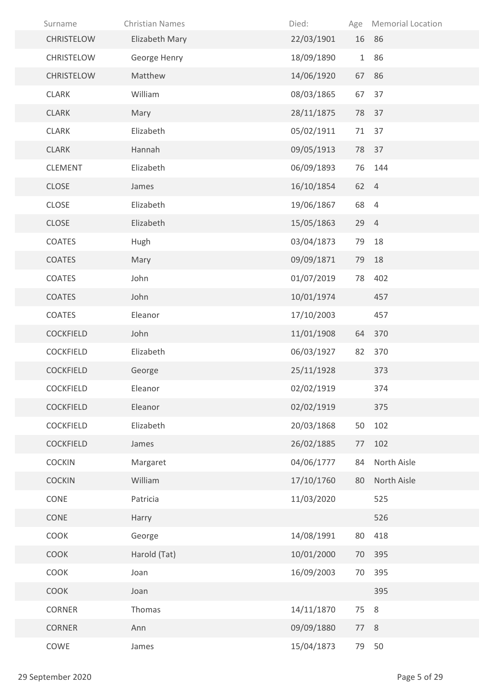| Surname           | <b>Christian Names</b> | Died:      |      | Age Memorial Location |
|-------------------|------------------------|------------|------|-----------------------|
| <b>CHRISTELOW</b> | Elizabeth Mary         | 22/03/1901 |      | 16 86                 |
| <b>CHRISTELOW</b> | George Henry           | 18/09/1890 | 1    | 86                    |
| <b>CHRISTELOW</b> | Matthew                | 14/06/1920 |      | 67 86                 |
| <b>CLARK</b>      | William                | 08/03/1865 | 67   | 37                    |
| <b>CLARK</b>      | Mary                   | 28/11/1875 | 78   | 37                    |
| <b>CLARK</b>      | Elizabeth              | 05/02/1911 | 71   | 37                    |
| <b>CLARK</b>      | Hannah                 | 09/05/1913 |      | 78 37                 |
| <b>CLEMENT</b>    | Elizabeth              | 06/09/1893 | 76   | 144                   |
| <b>CLOSE</b>      | James                  | 16/10/1854 | 62 4 |                       |
| CLOSE             | Elizabeth              | 19/06/1867 | 68   | $\overline{4}$        |
| <b>CLOSE</b>      | Elizabeth              | 15/05/1863 | 29 4 |                       |
| COATES            | Hugh                   | 03/04/1873 | 79   | 18                    |
| <b>COATES</b>     | Mary                   | 09/09/1871 | 79   | 18                    |
| COATES            | John                   | 01/07/2019 | 78   | 402                   |
| <b>COATES</b>     | John                   | 10/01/1974 |      | 457                   |
| COATES            | Eleanor                | 17/10/2003 |      | 457                   |
| <b>COCKFIELD</b>  | John                   | 11/01/1908 | 64   | 370                   |
| <b>COCKFIELD</b>  | Elizabeth              | 06/03/1927 | 82   | 370                   |
| <b>COCKFIELD</b>  | George                 | 25/11/1928 |      | 373                   |
| COCKFIELD         | Eleanor                | 02/02/1919 |      | 374                   |
| <b>COCKFIELD</b>  | Eleanor                | 02/02/1919 |      | 375                   |
| COCKFIELD         | Elizabeth              | 20/03/1868 | 50   | 102                   |
| <b>COCKFIELD</b>  | James                  | 26/02/1885 | 77   | 102                   |
| <b>COCKIN</b>     | Margaret               | 04/06/1777 | 84   | North Aisle           |
| <b>COCKIN</b>     | William                | 17/10/1760 | 80   | North Aisle           |
| CONE              | Patricia               | 11/03/2020 |      | 525                   |
| CONE              | Harry                  |            |      | 526                   |
| COOK              | George                 | 14/08/1991 | 80   | 418                   |
| COOK              | Harold (Tat)           | 10/01/2000 | 70   | 395                   |
| COOK              | Joan                   | 16/09/2003 | 70   | 395                   |
| COOK              | Joan                   |            |      | 395                   |
| <b>CORNER</b>     | Thomas                 | 14/11/1870 | 75   | 8                     |
| CORNER            | Ann                    | 09/09/1880 | 77   | 8                     |
| COWE              | James                  | 15/04/1873 | 79   | 50                    |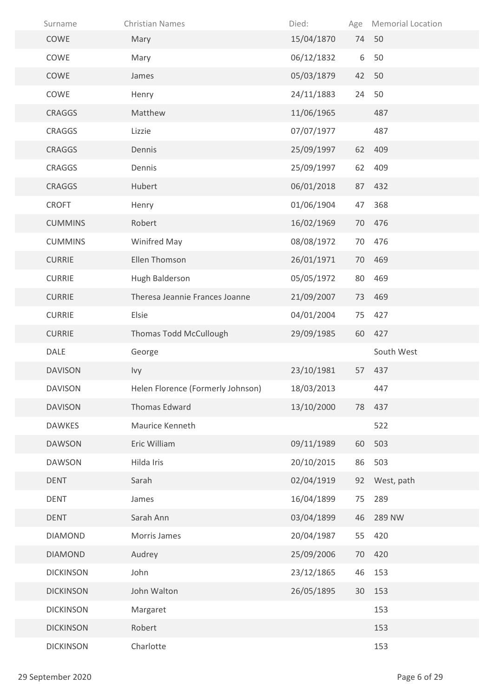| Surname          | <b>Christian Names</b>            | Died:      | Age | <b>Memorial Location</b> |
|------------------|-----------------------------------|------------|-----|--------------------------|
| COWE             | Mary                              | 15/04/1870 |     | 74 50                    |
| COWE             | Mary                              | 06/12/1832 | 6   | 50                       |
| COWE             | James                             | 05/03/1879 | 42  | 50                       |
| COWE             | Henry                             | 24/11/1883 | 24  | 50                       |
| <b>CRAGGS</b>    | Matthew                           | 11/06/1965 |     | 487                      |
| CRAGGS           | Lizzie                            | 07/07/1977 |     | 487                      |
| <b>CRAGGS</b>    | Dennis                            | 25/09/1997 | 62  | 409                      |
| <b>CRAGGS</b>    | Dennis                            | 25/09/1997 | 62  | 409                      |
| <b>CRAGGS</b>    | Hubert                            | 06/01/2018 | 87  | 432                      |
| <b>CROFT</b>     | Henry                             | 01/06/1904 | 47  | 368                      |
| <b>CUMMINS</b>   | Robert                            | 16/02/1969 | 70  | 476                      |
| <b>CUMMINS</b>   | Winifred May                      | 08/08/1972 | 70  | 476                      |
| <b>CURRIE</b>    | Ellen Thomson                     | 26/01/1971 | 70  | 469                      |
| <b>CURRIE</b>    | Hugh Balderson                    | 05/05/1972 | 80  | 469                      |
| <b>CURRIE</b>    | Theresa Jeannie Frances Joanne    | 21/09/2007 | 73  | 469                      |
| <b>CURRIE</b>    | Elsie                             | 04/01/2004 | 75  | 427                      |
| <b>CURRIE</b>    | Thomas Todd McCullough            | 29/09/1985 |     | 60 427                   |
| DALE             | George                            |            |     | South West               |
| <b>DAVISON</b>   | Ivy                               | 23/10/1981 | 57  | 437                      |
| <b>DAVISON</b>   | Helen Florence (Formerly Johnson) | 18/03/2013 |     | 447                      |
| <b>DAVISON</b>   | Thomas Edward                     | 13/10/2000 | 78  | 437                      |
| <b>DAWKES</b>    | Maurice Kenneth                   |            |     | 522                      |
| <b>DAWSON</b>    | Eric William                      | 09/11/1989 | 60  | 503                      |
| <b>DAWSON</b>    | Hilda Iris                        | 20/10/2015 | 86  | 503                      |
| <b>DENT</b>      | Sarah                             | 02/04/1919 |     | 92 West, path            |
| <b>DENT</b>      | James                             | 16/04/1899 | 75  | 289                      |
| <b>DENT</b>      | Sarah Ann                         | 03/04/1899 | 46  | 289 NW                   |
| <b>DIAMOND</b>   | Morris James                      | 20/04/1987 | 55  | 420                      |
| <b>DIAMOND</b>   | Audrey                            | 25/09/2006 | 70  | 420                      |
| <b>DICKINSON</b> | John                              | 23/12/1865 | 46  | 153                      |
| <b>DICKINSON</b> | John Walton                       | 26/05/1895 | 30  | 153                      |
| <b>DICKINSON</b> | Margaret                          |            |     | 153                      |
| <b>DICKINSON</b> | Robert                            |            |     | 153                      |
| <b>DICKINSON</b> | Charlotte                         |            |     | 153                      |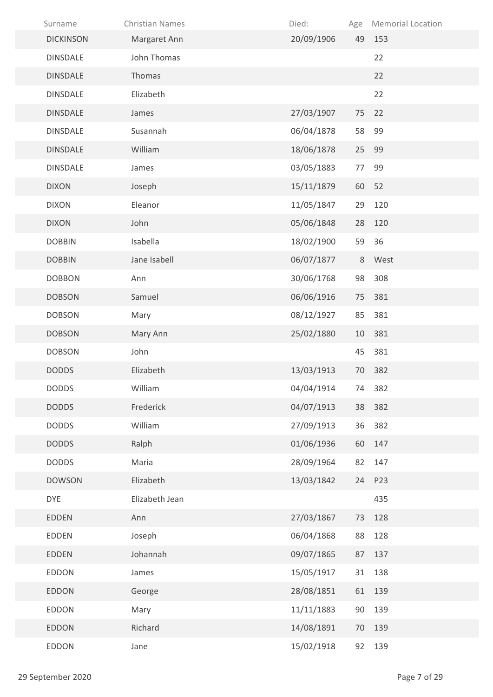| Surname          | <b>Christian Names</b> | Died:      | Age | <b>Memorial Location</b> |
|------------------|------------------------|------------|-----|--------------------------|
| <b>DICKINSON</b> | Margaret Ann           | 20/09/1906 | 49  | 153                      |
| <b>DINSDALE</b>  | John Thomas            |            |     | 22                       |
| <b>DINSDALE</b>  | Thomas                 |            |     | 22                       |
| <b>DINSDALE</b>  | Elizabeth              |            |     | 22                       |
| <b>DINSDALE</b>  | James                  | 27/03/1907 | 75  | 22                       |
| <b>DINSDALE</b>  | Susannah               | 06/04/1878 | 58  | 99                       |
| <b>DINSDALE</b>  | William                | 18/06/1878 | 25  | 99                       |
| <b>DINSDALE</b>  | James                  | 03/05/1883 | 77  | 99                       |
| <b>DIXON</b>     | Joseph                 | 15/11/1879 | 60  | 52                       |
| <b>DIXON</b>     | Eleanor                | 11/05/1847 | 29  | 120                      |
| <b>DIXON</b>     | John                   | 05/06/1848 | 28  | 120                      |
| <b>DOBBIN</b>    | Isabella               | 18/02/1900 | 59  | 36                       |
| <b>DOBBIN</b>    | Jane Isabell           | 06/07/1877 | 8   | West                     |
| <b>DOBBON</b>    | Ann                    | 30/06/1768 | 98  | 308                      |
| <b>DOBSON</b>    | Samuel                 | 06/06/1916 | 75  | 381                      |
| <b>DOBSON</b>    | Mary                   | 08/12/1927 | 85  | 381                      |
| <b>DOBSON</b>    | Mary Ann               | 25/02/1880 | 10  | 381                      |
| <b>DOBSON</b>    | John                   |            | 45  | 381                      |
| <b>DODDS</b>     | Elizabeth              | 13/03/1913 | 70  | 382                      |
| <b>DODDS</b>     | William                | 04/04/1914 | 74  | 382                      |
| <b>DODDS</b>     | Frederick              | 04/07/1913 |     | 38 382                   |
| <b>DODDS</b>     | William                | 27/09/1913 | 36  | 382                      |
| <b>DODDS</b>     | Ralph                  | 01/06/1936 | 60  | 147                      |
| <b>DODDS</b>     | Maria                  | 28/09/1964 | 82  | 147                      |
| <b>DOWSON</b>    | Elizabeth              | 13/03/1842 | 24  | P23                      |
| <b>DYE</b>       | Elizabeth Jean         |            |     | 435                      |
| <b>EDDEN</b>     | Ann                    | 27/03/1867 | 73  | 128                      |
| EDDEN            | Joseph                 | 06/04/1868 | 88  | 128                      |
| <b>EDDEN</b>     | Johannah               | 09/07/1865 | 87  | 137                      |
| <b>EDDON</b>     | James                  | 15/05/1917 | 31  | 138                      |
| <b>EDDON</b>     | George                 | 28/08/1851 | 61  | 139                      |
| <b>EDDON</b>     | Mary                   | 11/11/1883 | 90  | 139                      |
| <b>EDDON</b>     | Richard                | 14/08/1891 | 70  | 139                      |
| <b>EDDON</b>     | Jane                   | 15/02/1918 | 92  | 139                      |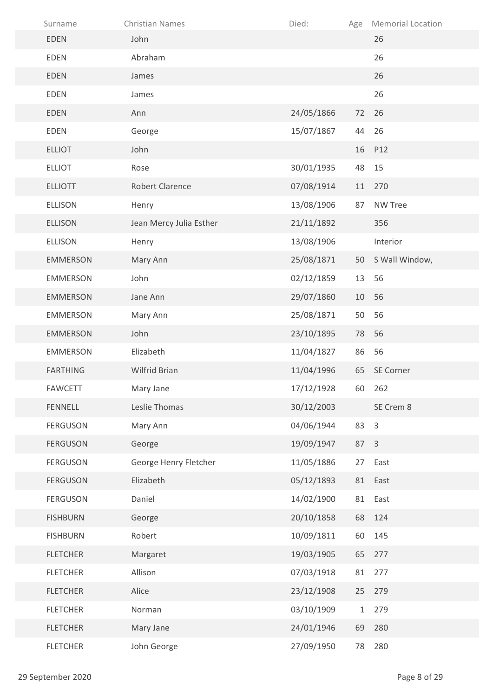| Surname         | <b>Christian Names</b>  | Died:      | Age          | <b>Memorial Location</b> |
|-----------------|-------------------------|------------|--------------|--------------------------|
| <b>EDEN</b>     | John                    |            |              | 26                       |
| <b>EDEN</b>     | Abraham                 |            |              | 26                       |
| <b>EDEN</b>     | James                   |            |              | 26                       |
| <b>EDEN</b>     | James                   |            |              | 26                       |
| <b>EDEN</b>     | Ann                     | 24/05/1866 | 72           | 26                       |
| <b>EDEN</b>     | George                  | 15/07/1867 | 44           | 26                       |
| <b>ELLIOT</b>   | John                    |            | 16           | P12                      |
| <b>ELLIOT</b>   | Rose                    | 30/01/1935 | 48           | 15                       |
| <b>ELLIOTT</b>  | <b>Robert Clarence</b>  | 07/08/1914 | 11           | 270                      |
| <b>ELLISON</b>  | Henry                   | 13/08/1906 | 87           | <b>NW Tree</b>           |
| <b>ELLISON</b>  | Jean Mercy Julia Esther | 21/11/1892 |              | 356                      |
| <b>ELLISON</b>  | Henry                   | 13/08/1906 |              | Interior                 |
| <b>EMMERSON</b> | Mary Ann                | 25/08/1871 | 50           | S Wall Window,           |
| <b>EMMERSON</b> | John                    | 02/12/1859 | 13           | 56                       |
| <b>EMMERSON</b> | Jane Ann                | 29/07/1860 | 10           | 56                       |
| <b>EMMERSON</b> | Mary Ann                | 25/08/1871 | 50           | 56                       |
| <b>EMMERSON</b> | John                    | 23/10/1895 | 78           | 56                       |
| <b>EMMERSON</b> | Elizabeth               | 11/04/1827 | 86           | 56                       |
| <b>FARTHING</b> | Wilfrid Brian           | 11/04/1996 |              | 65 SE Corner             |
| <b>FAWCETT</b>  | Mary Jane               | 17/12/1928 |              | 60 262                   |
| <b>FENNELL</b>  | Leslie Thomas           | 30/12/2003 |              | SE Crem 8                |
| <b>FERGUSON</b> | Mary Ann                | 04/06/1944 | 83           | $\overline{3}$           |
| <b>FERGUSON</b> | George                  | 19/09/1947 | 87           | $\overline{\mathbf{3}}$  |
| <b>FERGUSON</b> | George Henry Fletcher   | 11/05/1886 | 27           | East                     |
| <b>FERGUSON</b> | Elizabeth               | 05/12/1893 |              | 81 East                  |
| <b>FERGUSON</b> | Daniel                  | 14/02/1900 | 81           | East                     |
| <b>FISHBURN</b> | George                  | 20/10/1858 | 68           | 124                      |
| <b>FISHBURN</b> | Robert                  | 10/09/1811 | 60           | 145                      |
| <b>FLETCHER</b> | Margaret                | 19/03/1905 | 65           | 277                      |
| <b>FLETCHER</b> | Allison                 | 07/03/1918 | 81           | 277                      |
| <b>FLETCHER</b> | Alice                   | 23/12/1908 | 25           | 279                      |
| <b>FLETCHER</b> | Norman                  | 03/10/1909 | $\mathbf{1}$ | 279                      |
| <b>FLETCHER</b> | Mary Jane               | 24/01/1946 | 69           | 280                      |
| <b>FLETCHER</b> | John George             | 27/09/1950 | 78           | 280                      |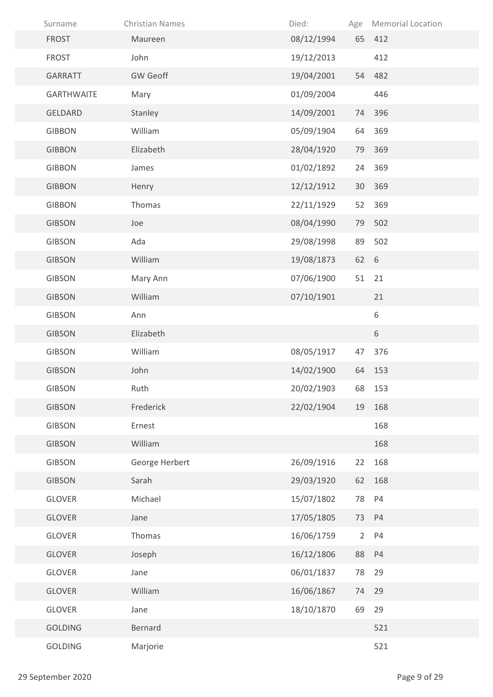| Surname           | <b>Christian Names</b> | Died:      |             | Age Memorial Location |
|-------------------|------------------------|------------|-------------|-----------------------|
| <b>FROST</b>      | Maureen                | 08/12/1994 |             | 65 412                |
| <b>FROST</b>      | John                   | 19/12/2013 |             | 412                   |
| GARRATT           | <b>GW Geoff</b>        | 19/04/2001 |             | 54 482                |
| <b>GARTHWAITE</b> | Mary                   | 01/09/2004 |             | 446                   |
| <b>GELDARD</b>    | Stanley                | 14/09/2001 | 74          | 396                   |
| <b>GIBBON</b>     | William                | 05/09/1904 | 64          | 369                   |
| <b>GIBBON</b>     | Elizabeth              | 28/04/1920 | 79          | 369                   |
| <b>GIBBON</b>     | James                  | 01/02/1892 | 24          | 369                   |
| <b>GIBBON</b>     | Henry                  | 12/12/1912 | 30          | 369                   |
| <b>GIBBON</b>     | Thomas                 | 22/11/1929 | 52          | 369                   |
| <b>GIBSON</b>     | Joe                    | 08/04/1990 | 79          | 502                   |
| <b>GIBSON</b>     | Ada                    | 29/08/1998 | 89          | 502                   |
| <b>GIBSON</b>     | William                | 19/08/1873 | 62 6        |                       |
| <b>GIBSON</b>     | Mary Ann               | 07/06/1900 | 51          | 21                    |
| <b>GIBSON</b>     | William                | 07/10/1901 |             | 21                    |
| <b>GIBSON</b>     | Ann                    |            |             | 6                     |
| <b>GIBSON</b>     | Elizabeth              |            |             | 6                     |
| <b>GIBSON</b>     | William                | 08/05/1917 | 47          | 376                   |
| <b>GIBSON</b>     | John                   | 14/02/1900 |             | 64 153                |
| <b>GIBSON</b>     | Ruth                   | 20/02/1903 |             | 68 153                |
| <b>GIBSON</b>     | Frederick              | 22/02/1904 | 19          | 168                   |
| <b>GIBSON</b>     | Ernest                 |            |             | 168                   |
| <b>GIBSON</b>     | William                |            |             | 168                   |
| <b>GIBSON</b>     | George Herbert         | 26/09/1916 | 22          | 168                   |
| <b>GIBSON</b>     | Sarah                  | 29/03/1920 | 62          | 168                   |
| <b>GLOVER</b>     | Michael                | 15/07/1802 | 78          | <b>P4</b>             |
| GLOVER            | Jane                   | 17/05/1805 | 73          | <b>P4</b>             |
| <b>GLOVER</b>     | Thomas                 | 16/06/1759 | $2^{\circ}$ | P <sub>4</sub>        |
| <b>GLOVER</b>     | Joseph                 | 16/12/1806 | 88          | P <sub>4</sub>        |
| <b>GLOVER</b>     | Jane                   | 06/01/1837 | 78          | 29                    |
| <b>GLOVER</b>     | William                | 16/06/1867 | 74          | 29                    |
| GLOVER            | Jane                   | 18/10/1870 | 69          | 29                    |
| <b>GOLDING</b>    | Bernard                |            |             | 521                   |
| GOLDING           | Marjorie               |            |             | 521                   |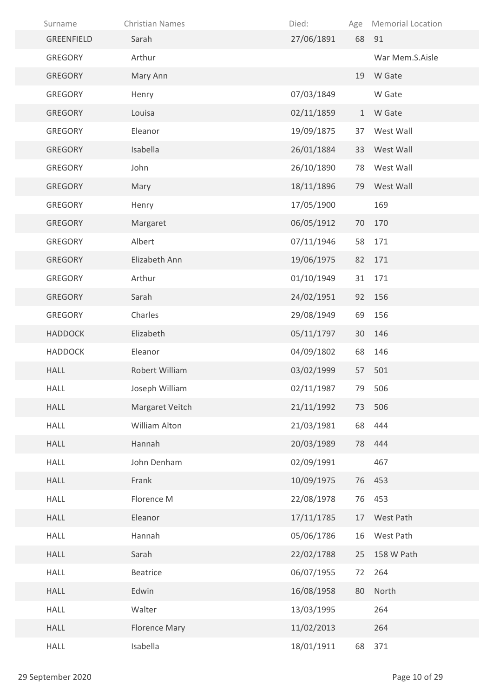| Surname        | <b>Christian Names</b> | Died:      | Age          | <b>Memorial Location</b> |
|----------------|------------------------|------------|--------------|--------------------------|
| GREENFIELD     | Sarah                  | 27/06/1891 |              | 68 91                    |
| <b>GREGORY</b> | Arthur                 |            |              | War Mem.S.Aisle          |
| <b>GREGORY</b> | Mary Ann               |            |              | 19 W Gate                |
| GREGORY        | Henry                  | 07/03/1849 |              | W Gate                   |
| <b>GREGORY</b> | Louisa                 | 02/11/1859 | $\mathbf{1}$ | W Gate                   |
| GREGORY        | Eleanor                | 19/09/1875 | 37           | West Wall                |
| GREGORY        | Isabella               | 26/01/1884 | 33           | West Wall                |
| <b>GREGORY</b> | John                   | 26/10/1890 | 78           | West Wall                |
| <b>GREGORY</b> | Mary                   | 18/11/1896 | 79           | West Wall                |
| GREGORY        | Henry                  | 17/05/1900 |              | 169                      |
| <b>GREGORY</b> | Margaret               | 06/05/1912 | 70           | 170                      |
| <b>GREGORY</b> | Albert                 | 07/11/1946 | 58           | 171                      |
| <b>GREGORY</b> | Elizabeth Ann          | 19/06/1975 | 82           | 171                      |
| GREGORY        | Arthur                 | 01/10/1949 | 31           | 171                      |
| <b>GREGORY</b> | Sarah                  | 24/02/1951 | 92           | 156                      |
| <b>GREGORY</b> | Charles                | 29/08/1949 | 69           | 156                      |
| <b>HADDOCK</b> | Elizabeth              | 05/11/1797 | 30           | 146                      |
| <b>HADDOCK</b> | Eleanor                | 04/09/1802 | 68           | 146                      |
| <b>HALL</b>    | Robert William         | 03/02/1999 | 57           | 501                      |
| <b>HALL</b>    | Joseph William         | 02/11/1987 | 79           | 506                      |
| <b>HALL</b>    | Margaret Veitch        | 21/11/1992 |              | 73 506                   |
| <b>HALL</b>    | William Alton          | 21/03/1981 | 68           | 444                      |
| <b>HALL</b>    | Hannah                 | 20/03/1989 | 78           | 444                      |
| <b>HALL</b>    | John Denham            | 02/09/1991 |              | 467                      |
| <b>HALL</b>    | Frank                  | 10/09/1975 |              | 76 453                   |
| <b>HALL</b>    | Florence M             | 22/08/1978 | 76           | 453                      |
| <b>HALL</b>    | Eleanor                | 17/11/1785 | 17           | West Path                |
| <b>HALL</b>    | Hannah                 | 05/06/1786 | 16           | West Path                |
| <b>HALL</b>    | Sarah                  | 22/02/1788 | 25           | 158 W Path               |
| <b>HALL</b>    | <b>Beatrice</b>        | 06/07/1955 | 72           | 264                      |
| <b>HALL</b>    | Edwin                  | 16/08/1958 | 80           | North                    |
| <b>HALL</b>    | Walter                 | 13/03/1995 |              | 264                      |
| HALL           | <b>Florence Mary</b>   | 11/02/2013 |              | 264                      |
| <b>HALL</b>    | Isabella               | 18/01/1911 | 68           | 371                      |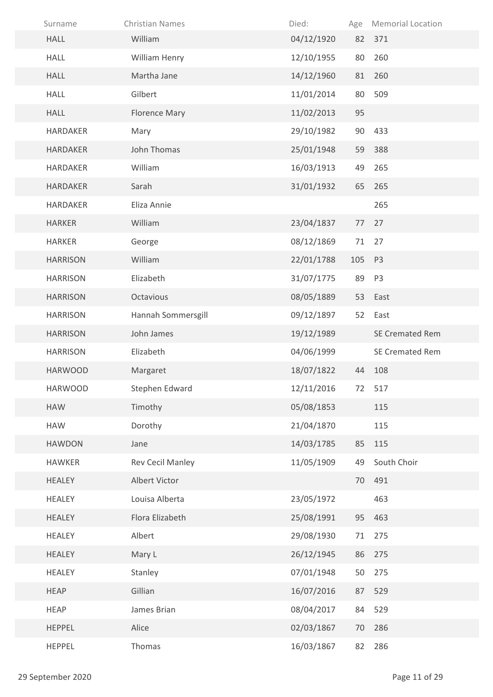| Surname         | <b>Christian Names</b>  | Died:      | Age | <b>Memorial Location</b> |
|-----------------|-------------------------|------------|-----|--------------------------|
| <b>HALL</b>     | William                 | 04/12/1920 |     | 82 371                   |
| <b>HALL</b>     | William Henry           | 12/10/1955 | 80  | 260                      |
| <b>HALL</b>     | Martha Jane             | 14/12/1960 | 81  | 260                      |
| <b>HALL</b>     | Gilbert                 | 11/01/2014 | 80  | 509                      |
| <b>HALL</b>     | <b>Florence Mary</b>    | 11/02/2013 | 95  |                          |
| <b>HARDAKER</b> | Mary                    | 29/10/1982 | 90  | 433                      |
| <b>HARDAKER</b> | John Thomas             | 25/01/1948 | 59  | 388                      |
| <b>HARDAKER</b> | William                 | 16/03/1913 | 49  | 265                      |
| <b>HARDAKER</b> | Sarah                   | 31/01/1932 | 65  | 265                      |
| <b>HARDAKER</b> | Eliza Annie             |            |     | 265                      |
| <b>HARKER</b>   | William                 | 23/04/1837 | 77  | 27                       |
| <b>HARKER</b>   | George                  | 08/12/1869 | 71  | 27                       |
| <b>HARRISON</b> | William                 | 22/01/1788 | 105 | P <sub>3</sub>           |
| <b>HARRISON</b> | Elizabeth               | 31/07/1775 | 89  | P <sub>3</sub>           |
| <b>HARRISON</b> | Octavious               | 08/05/1889 |     | 53 East                  |
| <b>HARRISON</b> | Hannah Sommersgill      | 09/12/1897 | 52  | East                     |
| <b>HARRISON</b> | John James              | 19/12/1989 |     | <b>SE Cremated Rem</b>   |
| <b>HARRISON</b> | Elizabeth               | 04/06/1999 |     | SE Cremated Rem          |
| <b>HARWOOD</b>  | Margaret                | 18/07/1822 | 44  | 108                      |
| <b>HARWOOD</b>  | Stephen Edward          | 12/11/2016 | 72  | 517                      |
| <b>HAW</b>      | Timothy                 | 05/08/1853 |     | 115                      |
| <b>HAW</b>      | Dorothy                 | 21/04/1870 |     | 115                      |
| <b>HAWDON</b>   | Jane                    | 14/03/1785 | 85  | 115                      |
| <b>HAWKER</b>   | <b>Rev Cecil Manley</b> | 11/05/1909 | 49  | South Choir              |
| <b>HEALEY</b>   | Albert Victor           |            | 70  | 491                      |
| <b>HEALEY</b>   | Louisa Alberta          | 23/05/1972 |     | 463                      |
| HEALEY          | Flora Elizabeth         | 25/08/1991 | 95  | 463                      |
| <b>HEALEY</b>   | Albert                  | 29/08/1930 | 71  | 275                      |
| <b>HEALEY</b>   | Mary L                  | 26/12/1945 | 86  | 275                      |
| <b>HEALEY</b>   | Stanley                 | 07/01/1948 | 50  | 275                      |
| <b>HEAP</b>     | Gillian                 | 16/07/2016 | 87  | 529                      |
| <b>HEAP</b>     | James Brian             | 08/04/2017 | 84  | 529                      |
| <b>HEPPEL</b>   | Alice                   | 02/03/1867 | 70  | 286                      |
| <b>HEPPEL</b>   | Thomas                  | 16/03/1867 | 82  | 286                      |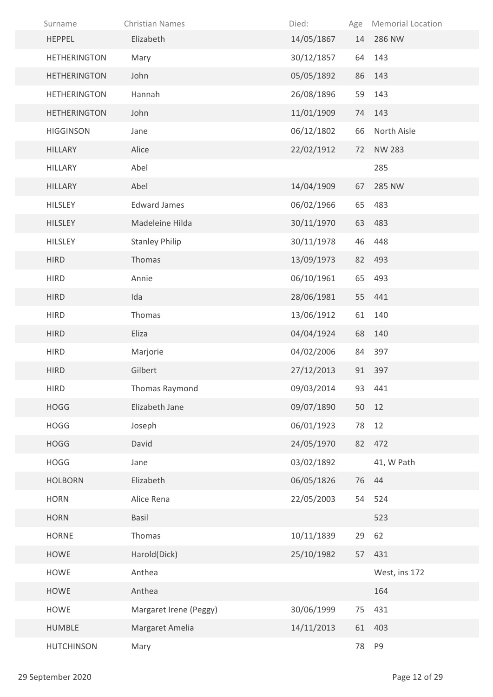| Surname             | <b>Christian Names</b> | Died:      | Age | <b>Memorial Location</b> |
|---------------------|------------------------|------------|-----|--------------------------|
| <b>HEPPEL</b>       | Elizabeth              | 14/05/1867 | 14  | 286 NW                   |
| <b>HETHERINGTON</b> | Mary                   | 30/12/1857 | 64  | 143                      |
| <b>HETHERINGTON</b> | John                   | 05/05/1892 | 86  | 143                      |
| <b>HETHERINGTON</b> | Hannah                 | 26/08/1896 | 59  | 143                      |
| <b>HETHERINGTON</b> | John                   | 11/01/1909 | 74  | 143                      |
| <b>HIGGINSON</b>    | Jane                   | 06/12/1802 | 66  | North Aisle              |
| <b>HILLARY</b>      | Alice                  | 22/02/1912 | 72  | <b>NW 283</b>            |
| <b>HILLARY</b>      | Abel                   |            |     | 285                      |
| <b>HILLARY</b>      | Abel                   | 14/04/1909 | 67  | 285 NW                   |
| <b>HILSLEY</b>      | <b>Edward James</b>    | 06/02/1966 | 65  | 483                      |
| <b>HILSLEY</b>      | Madeleine Hilda        | 30/11/1970 | 63  | 483                      |
| <b>HILSLEY</b>      | <b>Stanley Philip</b>  | 30/11/1978 | 46  | 448                      |
| <b>HIRD</b>         | Thomas                 | 13/09/1973 |     | 82 493                   |
| <b>HIRD</b>         | Annie                  | 06/10/1961 | 65  | 493                      |
| <b>HIRD</b>         | Ida                    | 28/06/1981 |     | 55 441                   |
| <b>HIRD</b>         | Thomas                 | 13/06/1912 | 61  | 140                      |
| <b>HIRD</b>         | Eliza                  | 04/04/1924 | 68  | 140                      |
| <b>HIRD</b>         | Marjorie               | 04/02/2006 | 84  | 397                      |
| <b>HIRD</b>         | Gilbert                | 27/12/2013 |     | 91 397                   |
| <b>HIRD</b>         | Thomas Raymond         | 09/03/2014 |     | 93 441                   |
| <b>HOGG</b>         | Elizabeth Jane         | 09/07/1890 |     | 50 12                    |
| <b>HOGG</b>         | Joseph                 | 06/01/1923 | 78  | 12                       |
| <b>HOGG</b>         | David                  | 24/05/1970 |     | 82 472                   |
| <b>HOGG</b>         | Jane                   | 03/02/1892 |     | 41, W Path               |
| <b>HOLBORN</b>      | Elizabeth              | 06/05/1826 |     | 76 44                    |
| <b>HORN</b>         | Alice Rena             | 22/05/2003 | 54  | 524                      |
| <b>HORN</b>         | Basil                  |            |     | 523                      |
| <b>HORNE</b>        | Thomas                 | 10/11/1839 | 29  | 62                       |
| HOWE                | Harold(Dick)           | 25/10/1982 | 57  | 431                      |
| HOWE                | Anthea                 |            |     | West, ins 172            |
| <b>HOWE</b>         | Anthea                 |            |     | 164                      |
| HOWE                | Margaret Irene (Peggy) | 30/06/1999 | 75  | 431                      |
| <b>HUMBLE</b>       | Margaret Amelia        | 14/11/2013 | 61  | 403                      |
| <b>HUTCHINSON</b>   | Mary                   |            | 78  | P9                       |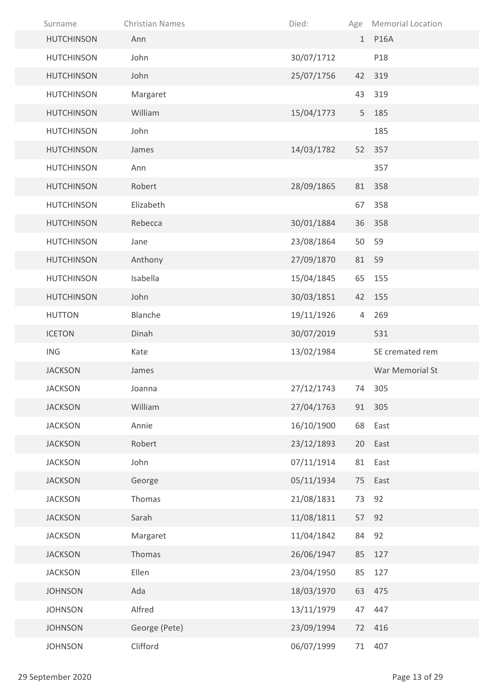| Surname           | <b>Christian Names</b> | Died:      |    | Age Memorial Location |
|-------------------|------------------------|------------|----|-----------------------|
| <b>HUTCHINSON</b> | Ann                    |            |    | 1 P16A                |
| <b>HUTCHINSON</b> | John                   | 30/07/1712 |    | P18                   |
| <b>HUTCHINSON</b> | John                   | 25/07/1756 |    | 42 319                |
| <b>HUTCHINSON</b> | Margaret               |            |    | 43 319                |
| <b>HUTCHINSON</b> | William                | 15/04/1773 | 5  | 185                   |
| <b>HUTCHINSON</b> | John                   |            |    | 185                   |
| <b>HUTCHINSON</b> | James                  | 14/03/1782 |    | 52 357                |
| <b>HUTCHINSON</b> | Ann                    |            |    | 357                   |
| <b>HUTCHINSON</b> | Robert                 | 28/09/1865 | 81 | 358                   |
| <b>HUTCHINSON</b> | Elizabeth              |            | 67 | 358                   |
| <b>HUTCHINSON</b> | Rebecca                | 30/01/1884 |    | 36 358                |
| <b>HUTCHINSON</b> | Jane                   | 23/08/1864 | 50 | 59                    |
| <b>HUTCHINSON</b> | Anthony                | 27/09/1870 | 81 | 59                    |
| <b>HUTCHINSON</b> | Isabella               | 15/04/1845 | 65 | 155                   |
| <b>HUTCHINSON</b> | John                   | 30/03/1851 | 42 | 155                   |
| <b>HUTTON</b>     | Blanche                | 19/11/1926 | 4  | 269                   |
| <b>ICETON</b>     | Dinah                  | 30/07/2019 |    | 531                   |
| <b>ING</b>        | Kate                   | 13/02/1984 |    | SE cremated rem       |
| <b>JACKSON</b>    | James                  |            |    | War Memorial St       |
| <b>JACKSON</b>    | Joanna                 | 27/12/1743 | 74 | 305                   |
| <b>JACKSON</b>    | William                | 27/04/1763 |    | 91 305                |
| <b>JACKSON</b>    | Annie                  | 16/10/1900 | 68 | East                  |
| <b>JACKSON</b>    | Robert                 | 23/12/1893 | 20 | East                  |
| <b>JACKSON</b>    | John                   | 07/11/1914 | 81 | East                  |
| <b>JACKSON</b>    | George                 | 05/11/1934 |    | 75 East               |
| <b>JACKSON</b>    | Thomas                 | 21/08/1831 | 73 | 92                    |
| <b>JACKSON</b>    | Sarah                  | 11/08/1811 | 57 | 92                    |
| <b>JACKSON</b>    | Margaret               | 11/04/1842 | 84 | 92                    |
| <b>JACKSON</b>    | Thomas                 | 26/06/1947 | 85 | 127                   |
| <b>JACKSON</b>    | Ellen                  | 23/04/1950 | 85 | 127                   |
| <b>JOHNSON</b>    | Ada                    | 18/03/1970 | 63 | 475                   |
| <b>JOHNSON</b>    | Alfred                 | 13/11/1979 | 47 | 447                   |
| <b>JOHNSON</b>    | George (Pete)          | 23/09/1994 |    | 72 416                |
| <b>JOHNSON</b>    | Clifford               | 06/07/1999 | 71 | 407                   |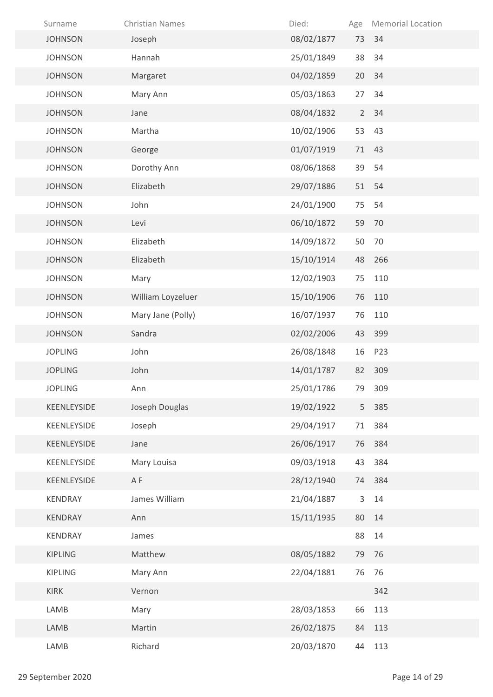| Surname        | <b>Christian Names</b> | Died:      | Age            | <b>Memorial Location</b> |
|----------------|------------------------|------------|----------------|--------------------------|
| <b>JOHNSON</b> | Joseph                 | 08/02/1877 | 73             | 34                       |
| <b>JOHNSON</b> | Hannah                 | 25/01/1849 | 38             | 34                       |
| <b>JOHNSON</b> | Margaret               | 04/02/1859 | 20             | 34                       |
| <b>JOHNSON</b> | Mary Ann               | 05/03/1863 | 27             | 34                       |
| <b>JOHNSON</b> | Jane                   | 08/04/1832 | $\overline{2}$ | 34                       |
| <b>JOHNSON</b> | Martha                 | 10/02/1906 | 53             | 43                       |
| <b>JOHNSON</b> | George                 | 01/07/1919 | 71             | 43                       |
| <b>JOHNSON</b> | Dorothy Ann            | 08/06/1868 | 39             | 54                       |
| <b>JOHNSON</b> | Elizabeth              | 29/07/1886 | 51             | 54                       |
| <b>JOHNSON</b> | John                   | 24/01/1900 | 75             | 54                       |
| <b>JOHNSON</b> | Levi                   | 06/10/1872 | 59             | 70                       |
| <b>JOHNSON</b> | Elizabeth              | 14/09/1872 | 50             | 70                       |
| <b>JOHNSON</b> | Elizabeth              | 15/10/1914 | 48             | 266                      |
| <b>JOHNSON</b> | Mary                   | 12/02/1903 | 75             | 110                      |
| <b>JOHNSON</b> | William Loyzeluer      | 15/10/1906 | 76             | 110                      |
| <b>JOHNSON</b> | Mary Jane (Polly)      | 16/07/1937 | 76             | 110                      |
| <b>JOHNSON</b> | Sandra                 | 02/02/2006 | 43             | 399                      |
| <b>JOPLING</b> | John                   | 26/08/1848 | 16             | P23                      |
| <b>JOPLING</b> | John                   | 14/01/1787 | 82             | 309                      |
| <b>JOPLING</b> | Ann                    | 25/01/1786 | 79             | 309                      |
| KEENLEYSIDE    | Joseph Douglas         | 19/02/1922 |                | 5 385                    |
| KEENLEYSIDE    | Joseph                 | 29/04/1917 | 71             | 384                      |
| KEENLEYSIDE    | Jane                   | 26/06/1917 | 76             | 384                      |
| KEENLEYSIDE    | Mary Louisa            | 09/03/1918 | 43             | 384                      |
| KEENLEYSIDE    | A F                    | 28/12/1940 |                | 74 384                   |
| KENDRAY        | James William          | 21/04/1887 | 3              | 14                       |
| KENDRAY        | Ann                    | 15/11/1935 | 80             | 14                       |
| KENDRAY        | James                  |            | 88             | 14                       |
| <b>KIPLING</b> | Matthew                | 08/05/1882 | 79             | 76                       |
| <b>KIPLING</b> | Mary Ann               | 22/04/1881 | 76             | 76                       |
| <b>KIRK</b>    | Vernon                 |            |                | 342                      |
| LAMB           | Mary                   | 28/03/1853 | 66             | 113                      |
| LAMB           | Martin                 | 26/02/1875 | 84             | 113                      |
| LAMB           | Richard                | 20/03/1870 | 44             | 113                      |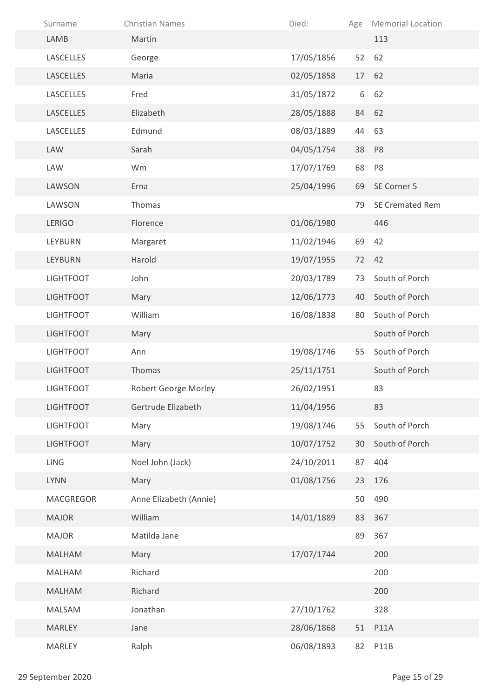| Surname          | <b>Christian Names</b> | Died:      | Age | <b>Memorial Location</b> |
|------------------|------------------------|------------|-----|--------------------------|
| LAMB             | Martin                 |            |     | 113                      |
| LASCELLES        | George                 | 17/05/1856 | 52  | 62                       |
| <b>LASCELLES</b> | Maria                  | 02/05/1858 | 17  | 62                       |
| LASCELLES        | Fred                   | 31/05/1872 | 6   | 62                       |
| <b>LASCELLES</b> | Elizabeth              | 28/05/1888 | 84  | 62                       |
| LASCELLES        | Edmund                 | 08/03/1889 | 44  | 63                       |
| LAW              | Sarah                  | 04/05/1754 | 38  | P <sub>8</sub>           |
| LAW              | Wm                     | 17/07/1769 | 68  | P <sub>8</sub>           |
| LAWSON           | Erna                   | 25/04/1996 | 69  | SE Corner 5              |
| LAWSON           | Thomas                 |            | 79  | <b>SE Cremated Rem</b>   |
| <b>LERIGO</b>    | Florence               | 01/06/1980 |     | 446                      |
| <b>LEYBURN</b>   | Margaret               | 11/02/1946 | 69  | 42                       |
| <b>LEYBURN</b>   | Harold                 | 19/07/1955 | 72  | 42                       |
| <b>LIGHTFOOT</b> | John                   | 20/03/1789 | 73  | South of Porch           |
| <b>LIGHTFOOT</b> | Mary                   | 12/06/1773 | 40  | South of Porch           |
| <b>LIGHTFOOT</b> | William                | 16/08/1838 | 80  | South of Porch           |
| <b>LIGHTFOOT</b> | Mary                   |            |     | South of Porch           |
| <b>LIGHTFOOT</b> | Ann                    | 19/08/1746 | 55  | South of Porch           |
| <b>LIGHTFOOT</b> | Thomas                 | 25/11/1751 |     | South of Porch           |
| <b>LIGHTFOOT</b> | Robert George Morley   | 26/02/1951 |     | 83                       |
| <b>LIGHTFOOT</b> | Gertrude Elizabeth     | 11/04/1956 |     | 83                       |
| <b>LIGHTFOOT</b> | Mary                   | 19/08/1746 | 55  | South of Porch           |
| <b>LIGHTFOOT</b> | Mary                   | 10/07/1752 | 30  | South of Porch           |
| <b>LING</b>      | Noel John (Jack)       | 24/10/2011 | 87  | 404                      |
| <b>LYNN</b>      | Mary                   | 01/08/1756 | 23  | 176                      |
| <b>MACGREGOR</b> | Anne Elizabeth (Annie) |            | 50  | 490                      |
| <b>MAJOR</b>     | William                | 14/01/1889 | 83  | 367                      |
| <b>MAJOR</b>     | Matilda Jane           |            | 89  | 367                      |
| <b>MALHAM</b>    | Mary                   | 17/07/1744 |     | 200                      |
| <b>MALHAM</b>    | Richard                |            |     | 200                      |
| <b>MALHAM</b>    | Richard                |            |     | 200                      |
| MALSAM           | Jonathan               | 27/10/1762 |     | 328                      |
| <b>MARLEY</b>    | Jane                   | 28/06/1868 | 51  | <b>P11A</b>              |
| <b>MARLEY</b>    | Ralph                  | 06/08/1893 | 82  | P11B                     |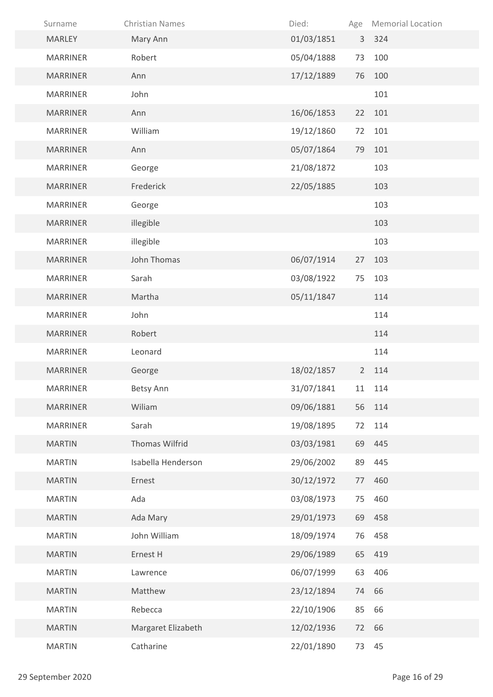| Surname         | <b>Christian Names</b> | Died:      | Age         | <b>Memorial Location</b> |
|-----------------|------------------------|------------|-------------|--------------------------|
| <b>MARLEY</b>   | Mary Ann               | 01/03/1851 |             | 3 324                    |
| <b>MARRINER</b> | Robert                 | 05/04/1888 | 73          | 100                      |
| <b>MARRINER</b> | Ann                    | 17/12/1889 | 76          | 100                      |
| <b>MARRINER</b> | John                   |            |             | 101                      |
| <b>MARRINER</b> | Ann                    | 16/06/1853 | 22          | 101                      |
| <b>MARRINER</b> | William                | 19/12/1860 | 72          | 101                      |
| <b>MARRINER</b> | Ann                    | 05/07/1864 | 79          | 101                      |
| <b>MARRINER</b> | George                 | 21/08/1872 |             | 103                      |
| <b>MARRINER</b> | Frederick              | 22/05/1885 |             | 103                      |
| <b>MARRINER</b> | George                 |            |             | 103                      |
| <b>MARRINER</b> | illegible              |            |             | 103                      |
| <b>MARRINER</b> | illegible              |            |             | 103                      |
| <b>MARRINER</b> | John Thomas            | 06/07/1914 | 27          | 103                      |
| <b>MARRINER</b> | Sarah                  | 03/08/1922 | 75          | 103                      |
| <b>MARRINER</b> | Martha                 | 05/11/1847 |             | 114                      |
| <b>MARRINER</b> | John                   |            |             | 114                      |
| <b>MARRINER</b> | Robert                 |            |             | 114                      |
| <b>MARRINER</b> | Leonard                |            |             | 114                      |
| <b>MARRINER</b> | George                 | 18/02/1857 | $2^{\circ}$ | 114                      |
| <b>MARRINER</b> | Betsy Ann              | 31/07/1841 |             | 11 114                   |
| <b>MARRINER</b> | Wiliam                 | 09/06/1881 |             | 56 114                   |
| <b>MARRINER</b> | Sarah                  | 19/08/1895 | 72          | 114                      |
| <b>MARTIN</b>   | Thomas Wilfrid         | 03/03/1981 | 69          | 445                      |
| <b>MARTIN</b>   | Isabella Henderson     | 29/06/2002 | 89          | 445                      |
| <b>MARTIN</b>   | Ernest                 | 30/12/1972 | 77          | 460                      |
| <b>MARTIN</b>   | Ada                    | 03/08/1973 | 75          | 460                      |
| <b>MARTIN</b>   | Ada Mary               | 29/01/1973 | 69          | 458                      |
| <b>MARTIN</b>   | John William           | 18/09/1974 | 76          | 458                      |
| <b>MARTIN</b>   | Ernest H               | 29/06/1989 | 65          | 419                      |
| <b>MARTIN</b>   | Lawrence               | 06/07/1999 | 63          | 406                      |
| <b>MARTIN</b>   | Matthew                | 23/12/1894 |             | 74 66                    |
| <b>MARTIN</b>   | Rebecca                | 22/10/1906 | 85          | 66                       |
| <b>MARTIN</b>   | Margaret Elizabeth     | 12/02/1936 | 72          | 66                       |
| <b>MARTIN</b>   | Catharine              | 22/01/1890 | 73          | 45                       |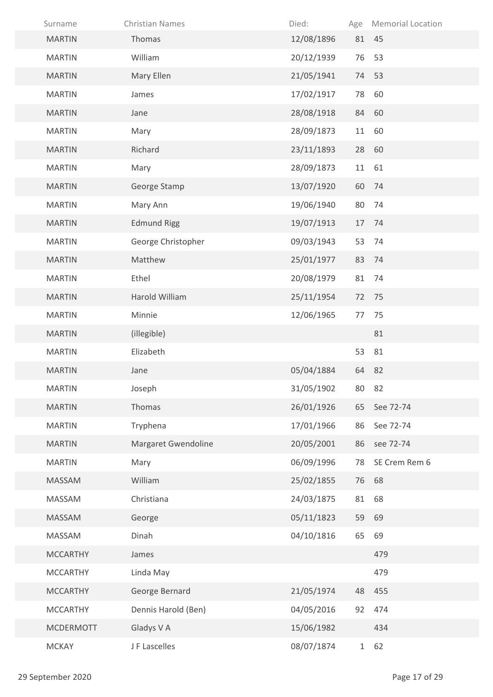| Surname          | <b>Christian Names</b> | Died:      | Age | <b>Memorial Location</b> |
|------------------|------------------------|------------|-----|--------------------------|
| <b>MARTIN</b>    | Thomas                 | 12/08/1896 |     | 81 45                    |
| <b>MARTIN</b>    | William                | 20/12/1939 | 76  | 53                       |
| <b>MARTIN</b>    | Mary Ellen             | 21/05/1941 |     | 74 53                    |
| <b>MARTIN</b>    | James                  | 17/02/1917 | 78  | 60                       |
| <b>MARTIN</b>    | Jane                   | 28/08/1918 | 84  | 60                       |
| <b>MARTIN</b>    | Mary                   | 28/09/1873 | 11  | 60                       |
| <b>MARTIN</b>    | Richard                | 23/11/1893 | 28  | 60                       |
| <b>MARTIN</b>    | Mary                   | 28/09/1873 | 11  | 61                       |
| <b>MARTIN</b>    | George Stamp           | 13/07/1920 | 60  | 74                       |
| <b>MARTIN</b>    | Mary Ann               | 19/06/1940 | 80  | 74                       |
| <b>MARTIN</b>    | <b>Edmund Rigg</b>     | 19/07/1913 | 17  | 74                       |
| <b>MARTIN</b>    | George Christopher     | 09/03/1943 | 53  | 74                       |
| <b>MARTIN</b>    | Matthew                | 25/01/1977 | 83  | 74                       |
| <b>MARTIN</b>    | Ethel                  | 20/08/1979 | 81  | 74                       |
| <b>MARTIN</b>    | Harold William         | 25/11/1954 | 72  | 75                       |
| <b>MARTIN</b>    | Minnie                 | 12/06/1965 | 77  | 75                       |
| <b>MARTIN</b>    | (illegible)            |            |     | 81                       |
| <b>MARTIN</b>    | Elizabeth              |            | 53  | 81                       |
| <b>MARTIN</b>    | Jane                   | 05/04/1884 |     | 64 82                    |
| <b>MARTIN</b>    | Joseph                 | 31/05/1902 | 80  | 82                       |
| <b>MARTIN</b>    | Thomas                 | 26/01/1926 | 65  | See 72-74                |
| <b>MARTIN</b>    | Tryphena               | 17/01/1966 | 86  | See 72-74                |
| <b>MARTIN</b>    | Margaret Gwendoline    | 20/05/2001 | 86  | see 72-74                |
| <b>MARTIN</b>    | Mary                   | 06/09/1996 | 78  | SE Crem Rem 6            |
| MASSAM           | William                | 25/02/1855 | 76  | 68                       |
| MASSAM           | Christiana             | 24/03/1875 | 81  | 68                       |
| MASSAM           | George                 | 05/11/1823 | 59  | 69                       |
| MASSAM           | Dinah                  | 04/10/1816 | 65  | 69                       |
| <b>MCCARTHY</b>  | James                  |            |     | 479                      |
| <b>MCCARTHY</b>  | Linda May              |            |     | 479                      |
| <b>MCCARTHY</b>  | George Bernard         | 21/05/1974 | 48  | 455                      |
| <b>MCCARTHY</b>  | Dennis Harold (Ben)    | 04/05/2016 | 92  | 474                      |
| <b>MCDERMOTT</b> | Gladys V A             | 15/06/1982 |     | 434                      |
| <b>MCKAY</b>     | J F Lascelles          | 08/07/1874 |     | 1 62                     |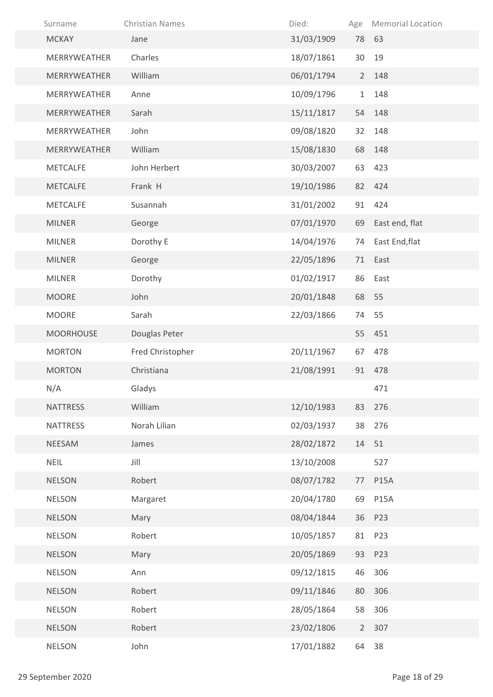| Surname          | <b>Christian Names</b> | Died:      | Age          | <b>Memorial Location</b> |
|------------------|------------------------|------------|--------------|--------------------------|
| <b>MCKAY</b>     | Jane                   | 31/03/1909 |              | 78 63                    |
| MERRYWEATHER     | Charles                | 18/07/1861 | 30           | 19                       |
| MERRYWEATHER     | William                | 06/01/1794 | $2^{\circ}$  | 148                      |
| MERRYWEATHER     | Anne                   | 10/09/1796 | $\mathbf{1}$ | 148                      |
| MERRYWEATHER     | Sarah                  | 15/11/1817 | 54           | 148                      |
| MERRYWEATHER     | John                   | 09/08/1820 | 32           | 148                      |
| MERRYWEATHER     | William                | 15/08/1830 | 68           | 148                      |
| <b>METCALFE</b>  | John Herbert           | 30/03/2007 | 63           | 423                      |
| <b>METCALFE</b>  | Frank H                | 19/10/1986 | 82           | 424                      |
| <b>METCALFE</b>  | Susannah               | 31/01/2002 | 91           | 424                      |
| <b>MILNER</b>    | George                 | 07/01/1970 | 69           | East end, flat           |
| <b>MILNER</b>    | Dorothy E              | 14/04/1976 | 74           | East End, flat           |
| <b>MILNER</b>    | George                 | 22/05/1896 | 71           | East                     |
| <b>MILNER</b>    | Dorothy                | 01/02/1917 | 86           | East                     |
| <b>MOORE</b>     | John                   | 20/01/1848 |              | 68 55                    |
| <b>MOORE</b>     | Sarah                  | 22/03/1866 | 74           | 55                       |
| <b>MOORHOUSE</b> | Douglas Peter          |            |              | 55 451                   |
| <b>MORTON</b>    | Fred Christopher       | 20/11/1967 | 67           | 478                      |
| <b>MORTON</b>    | Christiana             | 21/08/1991 | 91           | 478                      |
| N/A              | Gladys                 |            |              | 471                      |
| <b>NATTRESS</b>  | William                | 12/10/1983 | 83           | 276                      |
| <b>NATTRESS</b>  | Norah Lilian           | 02/03/1937 | 38           | 276                      |
| NEESAM           | James                  | 28/02/1872 | 14           | 51                       |
| <b>NEIL</b>      | Jill                   | 13/10/2008 |              | 527                      |
| <b>NELSON</b>    | Robert                 | 08/07/1782 | 77           | <b>P15A</b>              |
| <b>NELSON</b>    | Margaret               | 20/04/1780 | 69           | <b>P15A</b>              |
| <b>NELSON</b>    | Mary                   | 08/04/1844 | 36           | P23                      |
| <b>NELSON</b>    | Robert                 | 10/05/1857 | 81           | P23                      |
| <b>NELSON</b>    | Mary                   | 20/05/1869 | 93           | P23                      |
| <b>NELSON</b>    | Ann                    | 09/12/1815 | 46           | 306                      |
| <b>NELSON</b>    | Robert                 | 09/11/1846 | 80           | 306                      |
| <b>NELSON</b>    | Robert                 | 28/05/1864 | 58           | 306                      |
| <b>NELSON</b>    | Robert                 | 23/02/1806 | $2^{\circ}$  | 307                      |
| <b>NELSON</b>    | John                   | 17/01/1882 | 64           | 38                       |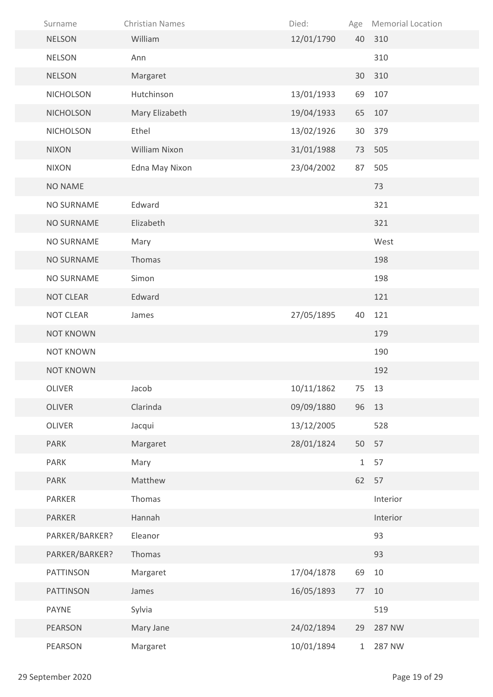| Surname           | <b>Christian Names</b> | Died:      | Age          | <b>Memorial Location</b> |
|-------------------|------------------------|------------|--------------|--------------------------|
| <b>NELSON</b>     | William                | 12/01/1790 | 40           | 310                      |
| <b>NELSON</b>     | Ann                    |            |              | 310                      |
| <b>NELSON</b>     | Margaret               |            | 30           | 310                      |
| <b>NICHOLSON</b>  | Hutchinson             | 13/01/1933 | 69           | 107                      |
| <b>NICHOLSON</b>  | Mary Elizabeth         | 19/04/1933 | 65           | 107                      |
| <b>NICHOLSON</b>  | Ethel                  | 13/02/1926 | 30           | 379                      |
| <b>NIXON</b>      | William Nixon          | 31/01/1988 | 73           | 505                      |
| <b>NIXON</b>      | Edna May Nixon         | 23/04/2002 | 87           | 505                      |
| <b>NO NAME</b>    |                        |            |              | 73                       |
| <b>NO SURNAME</b> | Edward                 |            |              | 321                      |
| <b>NO SURNAME</b> | Elizabeth              |            |              | 321                      |
| NO SURNAME        | Mary                   |            |              | West                     |
| <b>NO SURNAME</b> | Thomas                 |            |              | 198                      |
| NO SURNAME        | Simon                  |            |              | 198                      |
| <b>NOT CLEAR</b>  | Edward                 |            |              | 121                      |
| <b>NOT CLEAR</b>  | James                  | 27/05/1895 | 40           | 121                      |
| <b>NOT KNOWN</b>  |                        |            |              | 179                      |
| <b>NOT KNOWN</b>  |                        |            |              | 190                      |
| <b>NOT KNOWN</b>  |                        |            |              | 192                      |
| OLIVER            | Jacob                  | 10/11/1862 | 75           | 13                       |
| OLIVER            | Clarinda               | 09/09/1880 |              | 96 13                    |
| OLIVER            | Jacqui                 | 13/12/2005 |              | 528                      |
| <b>PARK</b>       | Margaret               | 28/01/1824 | 50           | 57                       |
| PARK              | Mary                   |            | $\mathbf{1}$ | 57                       |
| <b>PARK</b>       | Matthew                |            | 62           | 57                       |
| PARKER            | Thomas                 |            |              | Interior                 |
| PARKER            | Hannah                 |            |              | Interior                 |
| PARKER/BARKER?    | Eleanor                |            |              | 93                       |
| PARKER/BARKER?    | Thomas                 |            |              | 93                       |
| PATTINSON         | Margaret               | 17/04/1878 | 69           | 10                       |
| PATTINSON         | James                  | 16/05/1893 | 77           | 10                       |
| <b>PAYNE</b>      | Sylvia                 |            |              | 519                      |
| PEARSON           | Mary Jane              | 24/02/1894 | 29           | 287 NW                   |
| PEARSON           | Margaret               | 10/01/1894 | $\mathbf{1}$ | 287 NW                   |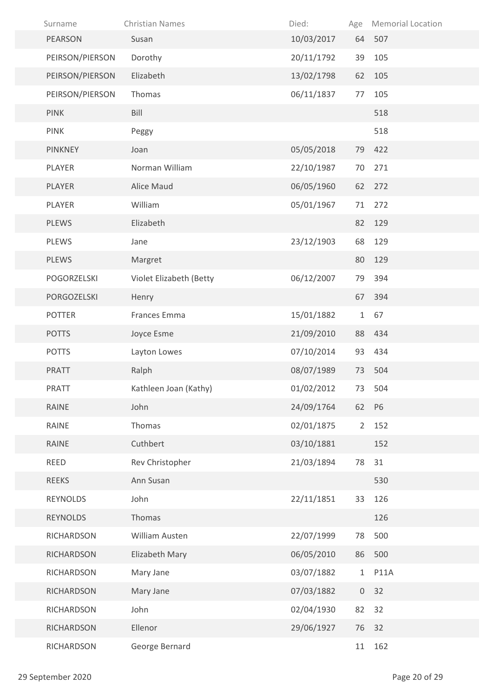| Surname         | <b>Christian Names</b>  | Died:      | Age          | <b>Memorial Location</b> |
|-----------------|-------------------------|------------|--------------|--------------------------|
| PEARSON         | Susan                   | 10/03/2017 |              | 64 507                   |
| PEIRSON/PIERSON | Dorothy                 | 20/11/1792 | 39           | 105                      |
| PEIRSON/PIERSON | Elizabeth               | 13/02/1798 | 62           | 105                      |
| PEIRSON/PIERSON | Thomas                  | 06/11/1837 | 77           | 105                      |
| <b>PINK</b>     | Bill                    |            |              | 518                      |
| <b>PINK</b>     | Peggy                   |            |              | 518                      |
| <b>PINKNEY</b>  | Joan                    | 05/05/2018 | 79           | 422                      |
| PLAYER          | Norman William          | 22/10/1987 | 70           | 271                      |
| PLAYER          | Alice Maud              | 06/05/1960 | 62           | 272                      |
| PLAYER          | William                 | 05/01/1967 | 71           | 272                      |
| <b>PLEWS</b>    | Elizabeth               |            | 82           | 129                      |
| <b>PLEWS</b>    | Jane                    | 23/12/1903 | 68           | 129                      |
| <b>PLEWS</b>    | Margret                 |            | 80           | 129                      |
| POGORZELSKI     | Violet Elizabeth (Betty | 06/12/2007 | 79           | 394                      |
| PORGOZELSKI     | Henry                   |            | 67           | 394                      |
| <b>POTTER</b>   | Frances Emma            | 15/01/1882 | $\mathbf{1}$ | 67                       |
| <b>POTTS</b>    | Joyce Esme              | 21/09/2010 | 88           | 434                      |
| <b>POTTS</b>    | Layton Lowes            | 07/10/2014 | 93           | 434                      |
| <b>PRATT</b>    | Ralph                   | 08/07/1989 | 73           | 504                      |
| PRATT           | Kathleen Joan (Kathy)   | 01/02/2012 | 73           | 504                      |
| RAINE           | John                    | 24/09/1764 |              | 62 P6                    |
| RAINE           | Thomas                  | 02/01/1875 | $2^{\circ}$  | 152                      |
| RAINE           | Cuthbert                | 03/10/1881 |              | 152                      |
| REED            | Rev Christopher         | 21/03/1894 | 78           | 31                       |
| <b>REEKS</b>    | Ann Susan               |            |              | 530                      |
| <b>REYNOLDS</b> | John                    | 22/11/1851 | 33           | 126                      |
| <b>REYNOLDS</b> | Thomas                  |            |              | 126                      |
| RICHARDSON      | William Austen          | 22/07/1999 | 78           | 500                      |
| RICHARDSON      | Elizabeth Mary          | 06/05/2010 | 86           | 500                      |
| RICHARDSON      | Mary Jane               | 03/07/1882 | $\mathbf{1}$ | <b>P11A</b>              |
| RICHARDSON      | Mary Jane               | 07/03/1882 |              | 0 <sub>32</sub>          |
| RICHARDSON      | John                    | 02/04/1930 | 82           | 32                       |
| RICHARDSON      | Ellenor                 | 29/06/1927 | 76           | 32                       |
| RICHARDSON      | George Bernard          |            | 11           | 162                      |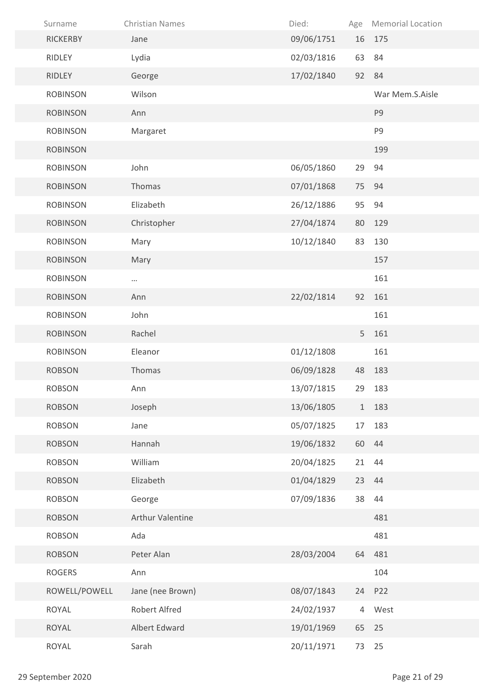| Surname         | <b>Christian Names</b> | Died:      | Age            | <b>Memorial Location</b> |
|-----------------|------------------------|------------|----------------|--------------------------|
| <b>RICKERBY</b> | Jane                   | 09/06/1751 | 16             | 175                      |
| RIDLEY          | Lydia                  | 02/03/1816 | 63             | 84                       |
| RIDLEY          | George                 | 17/02/1840 | 92             | 84                       |
| <b>ROBINSON</b> | Wilson                 |            |                | War Mem.S.Aisle          |
| <b>ROBINSON</b> | Ann                    |            |                | P <sub>9</sub>           |
| <b>ROBINSON</b> | Margaret               |            |                | P9                       |
| <b>ROBINSON</b> |                        |            |                | 199                      |
| <b>ROBINSON</b> | John                   | 06/05/1860 | 29             | 94                       |
| <b>ROBINSON</b> | Thomas                 | 07/01/1868 | 75             | 94                       |
| <b>ROBINSON</b> | Elizabeth              | 26/12/1886 | 95             | 94                       |
| <b>ROBINSON</b> | Christopher            | 27/04/1874 | 80             | 129                      |
| <b>ROBINSON</b> | Mary                   | 10/12/1840 | 83             | 130                      |
| <b>ROBINSON</b> | Mary                   |            |                | 157                      |
| <b>ROBINSON</b> | $\cdots$               |            |                | 161                      |
| <b>ROBINSON</b> | Ann                    | 22/02/1814 | 92             | 161                      |
| <b>ROBINSON</b> | John                   |            |                | 161                      |
| <b>ROBINSON</b> | Rachel                 |            | 5              | 161                      |
| <b>ROBINSON</b> | Eleanor                | 01/12/1808 |                | 161                      |
| <b>ROBSON</b>   | Thomas                 | 06/09/1828 | 48             | 183                      |
| ROBSON          | Ann                    | 13/07/1815 | 29             | 183                      |
| <b>ROBSON</b>   | Joseph                 | 13/06/1805 |                | 1 183                    |
| <b>ROBSON</b>   | Jane                   | 05/07/1825 | 17             | 183                      |
| <b>ROBSON</b>   | Hannah                 | 19/06/1832 |                | 60 44                    |
| <b>ROBSON</b>   | William                | 20/04/1825 | 21             | 44                       |
| <b>ROBSON</b>   | Elizabeth              | 01/04/1829 |                | 23 44                    |
| <b>ROBSON</b>   | George                 | 07/09/1836 | 38             | 44                       |
| <b>ROBSON</b>   | Arthur Valentine       |            |                | 481                      |
| <b>ROBSON</b>   | Ada                    |            |                | 481                      |
| <b>ROBSON</b>   | Peter Alan             | 28/03/2004 |                | 64 481                   |
| <b>ROGERS</b>   | Ann                    |            |                | 104                      |
| ROWELL/POWELL   | Jane (nee Brown)       | 08/07/1843 | 24             | P22                      |
| ROYAL           | <b>Robert Alfred</b>   | 24/02/1937 | $\overline{4}$ | West                     |
| ROYAL           | Albert Edward          | 19/01/1969 | 65             | 25                       |
| ROYAL           | Sarah                  | 20/11/1971 | 73             | 25                       |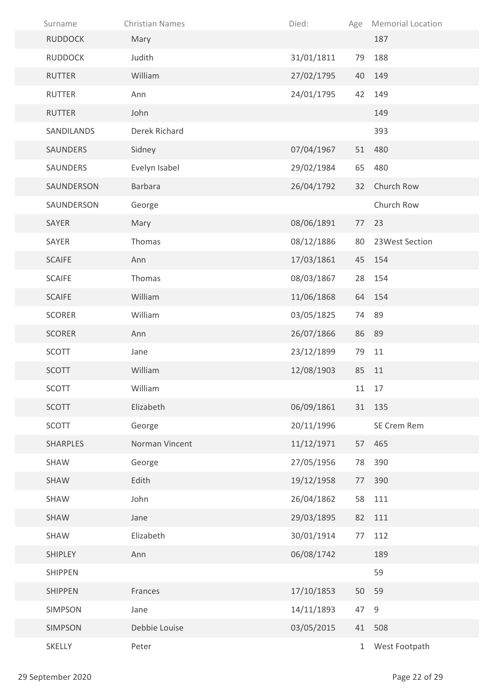| Surname         | <b>Christian Names</b> | Died:      | Age          | <b>Memorial Location</b> |
|-----------------|------------------------|------------|--------------|--------------------------|
| <b>RUDDOCK</b>  | Mary                   |            |              | 187                      |
| <b>RUDDOCK</b>  | Judith                 | 31/01/1811 | 79           | 188                      |
| <b>RUTTER</b>   | William                | 27/02/1795 | 40           | 149                      |
| <b>RUTTER</b>   | Ann                    | 24/01/1795 | 42           | 149                      |
| <b>RUTTER</b>   | John                   |            |              | 149                      |
| SANDILANDS      | Derek Richard          |            |              | 393                      |
| SAUNDERS        | Sidney                 | 07/04/1967 | 51           | 480                      |
| SAUNDERS        | Evelyn Isabel          | 29/02/1984 | 65           | 480                      |
| SAUNDERSON      | <b>Barbara</b>         | 26/04/1792 | 32           | Church Row               |
| SAUNDERSON      | George                 |            |              | Church Row               |
| SAYER           | Mary                   | 08/06/1891 | 77           | 23                       |
| SAYER           | Thomas                 | 08/12/1886 | 80           | 23West Section           |
| <b>SCAIFE</b>   | Ann                    | 17/03/1861 | 45           | 154                      |
| <b>SCAIFE</b>   | Thomas                 | 08/03/1867 | 28           | 154                      |
| <b>SCAIFE</b>   | William                | 11/06/1868 |              | 64 154                   |
| <b>SCORER</b>   | William                | 03/05/1825 | 74           | 89                       |
| <b>SCORER</b>   | Ann                    | 26/07/1866 | 86           | 89                       |
| SCOTT           | Jane                   | 23/12/1899 | 79           | 11                       |
| SCOTT           | William                | 12/08/1903 | 85           | 11                       |
| SCOTT           | William                |            |              | 11 17                    |
| <b>SCOTT</b>    | Elizabeth              | 06/09/1861 |              | 31 135                   |
| SCOTT           | George                 | 20/11/1996 |              | SE Crem Rem              |
| <b>SHARPLES</b> | Norman Vincent         | 11/12/1971 | 57           | 465                      |
| SHAW            | George                 | 27/05/1956 | 78           | 390                      |
| SHAW            | Edith                  | 19/12/1958 | 77           | 390                      |
| SHAW            | John                   | 26/04/1862 | 58           | 111                      |
| SHAW            | Jane                   | 29/03/1895 | 82           | 111                      |
| SHAW            | Elizabeth              | 30/01/1914 | 77           | 112                      |
| SHIPLEY         | Ann                    | 06/08/1742 |              | 189                      |
| <b>SHIPPEN</b>  |                        |            |              | 59                       |
| <b>SHIPPEN</b>  | Frances                | 17/10/1853 | 50           | 59                       |
| SIMPSON         | Jane                   | 14/11/1893 | 47 9         |                          |
| SIMPSON         | Debbie Louise          | 03/05/2015 | 41           | 508                      |
| SKELLY          | Peter                  |            | $\mathbf{1}$ | West Footpath            |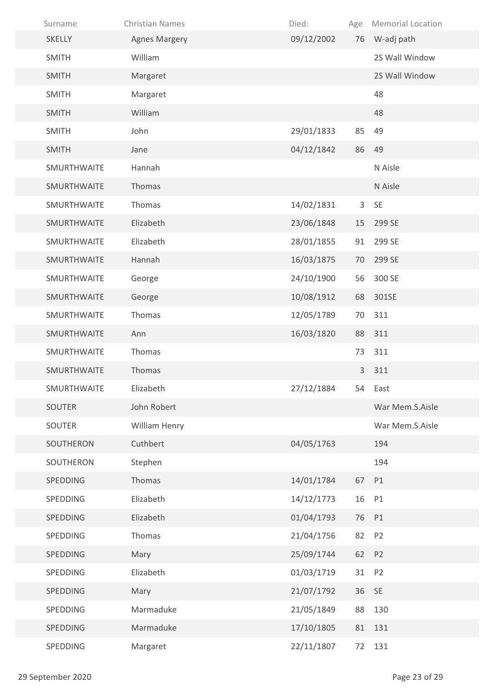| Surname            | <b>Christian Names</b> | Died:      | Age | <b>Memorial Location</b> |
|--------------------|------------------------|------------|-----|--------------------------|
| <b>SKELLY</b>      | <b>Agnes Margery</b>   | 09/12/2002 | 76  | W-adj path               |
| <b>SMITH</b>       | William                |            |     | 2S Wall Window           |
| <b>SMITH</b>       | Margaret               |            |     | 2S Wall Window           |
| <b>SMITH</b>       | Margaret               |            |     | 48                       |
| <b>SMITH</b>       | William                |            |     | 48                       |
| <b>SMITH</b>       | John                   | 29/01/1833 | 85  | 49                       |
| <b>SMITH</b>       | Jane                   | 04/12/1842 | 86  | 49                       |
| SMURTHWAITE        | Hannah                 |            |     | N Aisle                  |
| <b>SMURTHWAITE</b> | Thomas                 |            |     | N Aisle                  |
| SMURTHWAITE        | Thomas                 | 14/02/1831 | 3   | <b>SE</b>                |
| SMURTHWAITE        | Elizabeth              | 23/06/1848 | 15  | 299 SE                   |
| SMURTHWAITE        | Elizabeth              | 28/01/1855 | 91  | 299 SE                   |
| SMURTHWAITE        | Hannah                 | 16/03/1875 | 70  | 299 SE                   |
| SMURTHWAITE        | George                 | 24/10/1900 | 56  | 300 SE                   |
| SMURTHWAITE        | George                 | 10/08/1912 | 68  | 301SE                    |
| SMURTHWAITE        | Thomas                 | 12/05/1789 | 70  | 311                      |
| SMURTHWAITE        | Ann                    | 16/03/1820 | 88  | 311                      |
| SMURTHWAITE        | Thomas                 |            | 73  | 311                      |
| SMURTHWAITE        | Thomas                 |            | 3   | 311                      |
| SMURTHWAITE        | Elizabeth              | 27/12/1884 |     | 54 East                  |
| SOUTER             | John Robert            |            |     | War Mem.S.Aisle          |
| SOUTER             | William Henry          |            |     | War Mem.S.Aisle          |
| SOUTHERON          | Cuthbert               | 04/05/1763 |     | 194                      |
| SOUTHERON          | Stephen                |            |     | 194                      |
| SPEDDING           | Thomas                 | 14/01/1784 | 67  | P1                       |
| SPEDDING           | Elizabeth              | 14/12/1773 | 16  | P1                       |
| SPEDDING           | Elizabeth              | 01/04/1793 | 76  | P1                       |
| SPEDDING           | Thomas                 | 21/04/1756 | 82  | P <sub>2</sub>           |
| SPEDDING           | Mary                   | 25/09/1744 | 62  | P <sub>2</sub>           |
| SPEDDING           | Elizabeth              | 01/03/1719 | 31  | P <sub>2</sub>           |
| SPEDDING           | Mary                   | 21/07/1792 | 36  | <b>SE</b>                |
| SPEDDING           | Marmaduke              | 21/05/1849 | 88  | 130                      |
| SPEDDING           | Marmaduke              | 17/10/1805 | 81  | 131                      |
| SPEDDING           | Margaret               | 22/11/1807 | 72  | 131                      |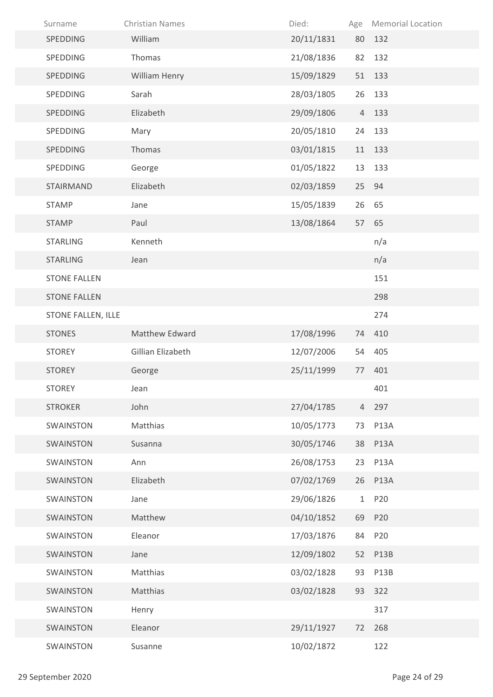| Surname                   | <b>Christian Names</b> | Died:      |                | Age Memorial Location |
|---------------------------|------------------------|------------|----------------|-----------------------|
| SPEDDING                  | William                | 20/11/1831 | 80             | 132                   |
| SPEDDING                  | Thomas                 | 21/08/1836 | 82             | 132                   |
| SPEDDING                  | William Henry          | 15/09/1829 | 51             | 133                   |
| SPEDDING                  | Sarah                  | 28/03/1805 | 26             | 133                   |
| SPEDDING                  | Elizabeth              | 29/09/1806 | $\overline{4}$ | 133                   |
| SPEDDING                  | Mary                   | 20/05/1810 | 24             | 133                   |
| SPEDDING                  | Thomas                 | 03/01/1815 | 11             | 133                   |
| SPEDDING                  | George                 | 01/05/1822 | 13             | 133                   |
| STAIRMAND                 | Elizabeth              | 02/03/1859 | 25             | 94                    |
| <b>STAMP</b>              | Jane                   | 15/05/1839 | 26             | 65                    |
| <b>STAMP</b>              | Paul                   | 13/08/1864 | 57             | 65                    |
| <b>STARLING</b>           | Kenneth                |            |                | n/a                   |
| <b>STARLING</b>           | Jean                   |            |                | n/a                   |
| <b>STONE FALLEN</b>       |                        |            |                | 151                   |
| <b>STONE FALLEN</b>       |                        |            |                | 298                   |
| <b>STONE FALLEN, ILLE</b> |                        |            |                | 274                   |
| <b>STONES</b>             | Matthew Edward         | 17/08/1996 | 74             | 410                   |
| <b>STOREY</b>             | Gillian Elizabeth      | 12/07/2006 | 54             | 405                   |
| <b>STOREY</b>             | George                 | 25/11/1999 | 77             | 401                   |
| <b>STOREY</b>             | Jean                   |            |                | 401                   |
| <b>STROKER</b>            | John                   | 27/04/1785 | $\overline{4}$ | 297                   |
| SWAINSTON                 | Matthias               | 10/05/1773 | 73             | <b>P13A</b>           |
| SWAINSTON                 | Susanna                | 30/05/1746 | 38             | <b>P13A</b>           |
| SWAINSTON                 | Ann                    | 26/08/1753 | 23             | <b>P13A</b>           |
| SWAINSTON                 | Elizabeth              | 07/02/1769 |                | 26 P13A               |
| SWAINSTON                 | Jane                   | 29/06/1826 | $\mathbf{1}$   | P20                   |
| SWAINSTON                 | Matthew                | 04/10/1852 | 69             | P20                   |
| SWAINSTON                 | Eleanor                | 17/03/1876 | 84             | P20                   |
| SWAINSTON                 | Jane                   | 12/09/1802 | 52             | <b>P13B</b>           |
| SWAINSTON                 | Matthias               | 03/02/1828 | 93             | <b>P13B</b>           |
| SWAINSTON                 | Matthias               | 03/02/1828 | 93             | 322                   |
| SWAINSTON                 | Henry                  |            |                | 317                   |
| SWAINSTON                 | Eleanor                | 29/11/1927 | 72             | 268                   |
| SWAINSTON                 | Susanne                | 10/02/1872 |                | 122                   |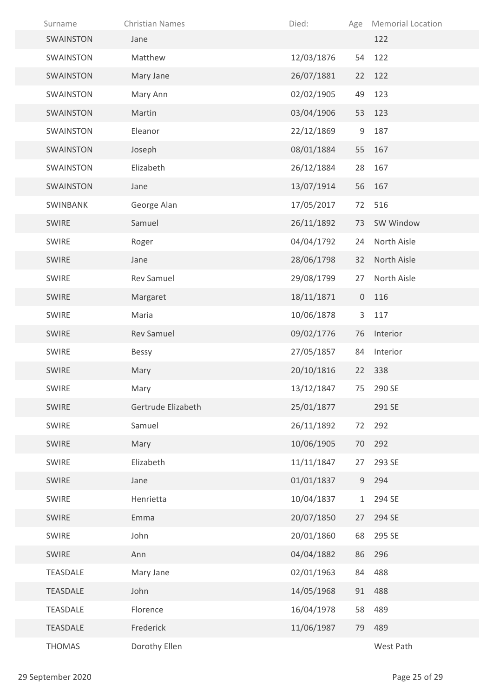| Surname         | <b>Christian Names</b> | Died:      | Age            | <b>Memorial Location</b> |
|-----------------|------------------------|------------|----------------|--------------------------|
| SWAINSTON       | Jane                   |            |                | 122                      |
| SWAINSTON       | Matthew                | 12/03/1876 | 54             | 122                      |
| SWAINSTON       | Mary Jane              | 26/07/1881 | 22             | 122                      |
| SWAINSTON       | Mary Ann               | 02/02/1905 | 49             | 123                      |
| SWAINSTON       | Martin                 | 03/04/1906 | 53             | 123                      |
| SWAINSTON       | Eleanor                | 22/12/1869 | 9              | 187                      |
| SWAINSTON       | Joseph                 | 08/01/1884 | 55             | 167                      |
| SWAINSTON       | Elizabeth              | 26/12/1884 | 28             | 167                      |
| SWAINSTON       | Jane                   | 13/07/1914 | 56             | 167                      |
| SWINBANK        | George Alan            | 17/05/2017 | 72             | 516                      |
| <b>SWIRE</b>    | Samuel                 | 26/11/1892 | 73             | SW Window                |
| <b>SWIRE</b>    | Roger                  | 04/04/1792 | 24             | North Aisle              |
| <b>SWIRE</b>    | Jane                   | 28/06/1798 | 32             | North Aisle              |
| <b>SWIRE</b>    | <b>Rev Samuel</b>      | 29/08/1799 | 27             | North Aisle              |
| SWIRE           | Margaret               | 18/11/1871 | $\overline{0}$ | 116                      |
| <b>SWIRE</b>    | Maria                  | 10/06/1878 | 3              | 117                      |
| <b>SWIRE</b>    | <b>Rev Samuel</b>      | 09/02/1776 | 76             | Interior                 |
| SWIRE           | <b>Bessy</b>           | 27/05/1857 | 84             | Interior                 |
| <b>SWIRE</b>    | Mary                   | 20/10/1816 | 22             | 338                      |
| <b>SWIRE</b>    | Mary                   | 13/12/1847 |                | 75 290 SE                |
| SWIRE           | Gertrude Elizabeth     | 25/01/1877 |                | 291 SE                   |
| SWIRE           | Samuel                 | 26/11/1892 | 72             | 292                      |
| <b>SWIRE</b>    | Mary                   | 10/06/1905 | 70             | 292                      |
| SWIRE           | Elizabeth              | 11/11/1847 | 27             | 293 SE                   |
| SWIRE           | Jane                   | 01/01/1837 | 9              | 294                      |
| SWIRE           | Henrietta              | 10/04/1837 | $\mathbf{1}$   | 294 SE                   |
| SWIRE           | Emma                   | 20/07/1850 | 27             | 294 SE                   |
| SWIRE           | John                   | 20/01/1860 | 68             | 295 SE                   |
| SWIRE           | Ann                    | 04/04/1882 | 86             | 296                      |
| TEASDALE        | Mary Jane              | 02/01/1963 | 84             | 488                      |
| <b>TEASDALE</b> | John                   | 14/05/1968 | 91             | 488                      |
| TEASDALE        | Florence               | 16/04/1978 | 58             | 489                      |
| <b>TEASDALE</b> | Frederick              | 11/06/1987 | 79             | 489                      |
| <b>THOMAS</b>   | Dorothy Ellen          |            |                | West Path                |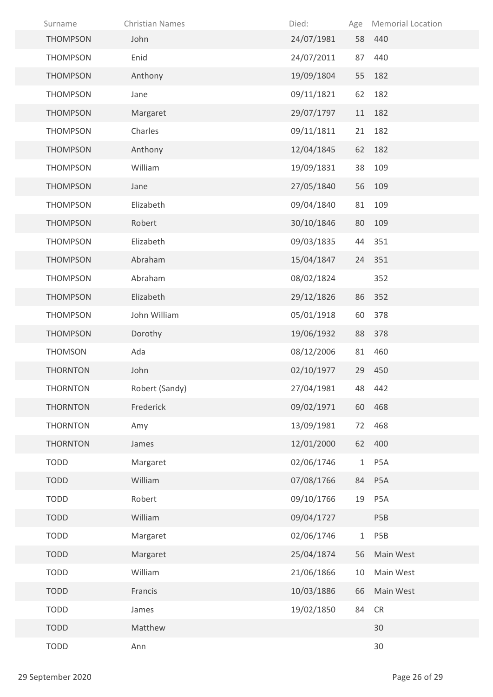| Surname         | <b>Christian Names</b> | Died:      | Age          | <b>Memorial Location</b> |
|-----------------|------------------------|------------|--------------|--------------------------|
| <b>THOMPSON</b> | John                   | 24/07/1981 |              | 58 440                   |
| <b>THOMPSON</b> | Enid                   | 24/07/2011 | 87           | 440                      |
| <b>THOMPSON</b> | Anthony                | 19/09/1804 | 55           | 182                      |
| <b>THOMPSON</b> | Jane                   | 09/11/1821 | 62           | 182                      |
| <b>THOMPSON</b> | Margaret               | 29/07/1797 | 11           | 182                      |
| <b>THOMPSON</b> | Charles                | 09/11/1811 | 21           | 182                      |
| <b>THOMPSON</b> | Anthony                | 12/04/1845 | 62           | 182                      |
| <b>THOMPSON</b> | William                | 19/09/1831 | 38           | 109                      |
| <b>THOMPSON</b> | Jane                   | 27/05/1840 | 56           | 109                      |
| <b>THOMPSON</b> | Elizabeth              | 09/04/1840 | 81           | 109                      |
| <b>THOMPSON</b> | Robert                 | 30/10/1846 | 80           | 109                      |
| <b>THOMPSON</b> | Elizabeth              | 09/03/1835 |              | 44 351                   |
| <b>THOMPSON</b> | Abraham                | 15/04/1847 | 24           | 351                      |
| <b>THOMPSON</b> | Abraham                | 08/02/1824 |              | 352                      |
| <b>THOMPSON</b> | Elizabeth              | 29/12/1826 |              | 86 352                   |
| <b>THOMPSON</b> | John William           | 05/01/1918 | 60           | 378                      |
| <b>THOMPSON</b> | Dorothy                | 19/06/1932 | 88           | 378                      |
| <b>THOMSON</b>  | Ada                    | 08/12/2006 | 81           | 460                      |
| <b>THORNTON</b> | John                   | 02/10/1977 |              | 29 450                   |
| THORNTON        | Robert (Sandy)         | 27/04/1981 |              | 48 442                   |
| <b>THORNTON</b> | Frederick              | 09/02/1971 | 60           | 468                      |
| <b>THORNTON</b> | Amy                    | 13/09/1981 | 72           | 468                      |
| <b>THORNTON</b> | James                  | 12/01/2000 | 62           | 400                      |
| <b>TODD</b>     | Margaret               | 02/06/1746 | $\mathbf{1}$ | P5A                      |
| <b>TODD</b>     | William                | 07/08/1766 | 84           | P5A                      |
| <b>TODD</b>     | Robert                 | 09/10/1766 | 19           | P <sub>5</sub> A         |
| <b>TODD</b>     | William                | 09/04/1727 |              | P <sub>5</sub> B         |
| <b>TODD</b>     | Margaret               | 02/06/1746 | $\mathbf{1}$ | P <sub>5</sub> B         |
| <b>TODD</b>     | Margaret               | 25/04/1874 | 56           | Main West                |
| <b>TODD</b>     | William                | 21/06/1866 | 10           | Main West                |
| <b>TODD</b>     | Francis                | 10/03/1886 | 66           | Main West                |
| <b>TODD</b>     | James                  | 19/02/1850 | 84           | <b>CR</b>                |
| <b>TODD</b>     | Matthew                |            |              | 30                       |
| <b>TODD</b>     | Ann                    |            |              | 30                       |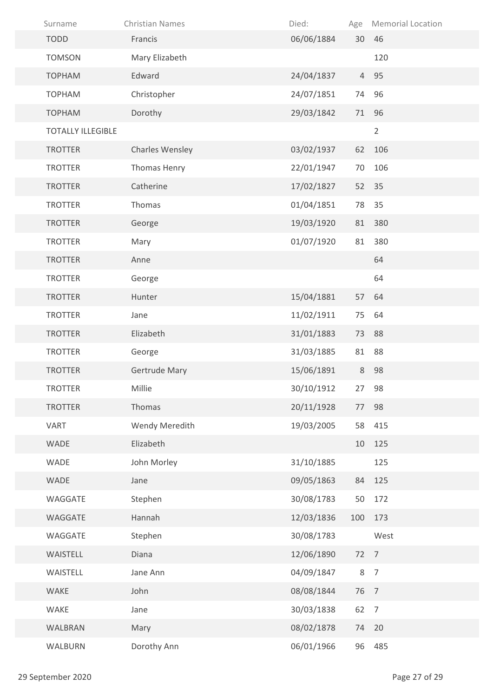| Surname                  | <b>Christian Names</b> | Died:      | Age  | <b>Memorial Location</b> |
|--------------------------|------------------------|------------|------|--------------------------|
| <b>TODD</b>              | Francis                | 06/06/1884 |      | 30 46                    |
| <b>TOMSON</b>            | Mary Elizabeth         |            |      | 120                      |
| <b>TOPHAM</b>            | Edward                 | 24/04/1837 |      | 4 95                     |
| <b>TOPHAM</b>            | Christopher            | 24/07/1851 | 74   | 96                       |
| <b>TOPHAM</b>            | Dorothy                | 29/03/1842 | 71   | 96                       |
| <b>TOTALLY ILLEGIBLE</b> |                        |            |      | $\overline{2}$           |
| <b>TROTTER</b>           | Charles Wensley        | 03/02/1937 | 62   | 106                      |
| <b>TROTTER</b>           | Thomas Henry           | 22/01/1947 | 70   | 106                      |
| <b>TROTTER</b>           | Catherine              | 17/02/1827 | 52   | 35                       |
| <b>TROTTER</b>           | Thomas                 | 01/04/1851 | 78   | 35                       |
| <b>TROTTER</b>           | George                 | 19/03/1920 | 81   | 380                      |
| <b>TROTTER</b>           | Mary                   | 01/07/1920 | 81   | 380                      |
| <b>TROTTER</b>           | Anne                   |            |      | 64                       |
| <b>TROTTER</b>           | George                 |            |      | 64                       |
| <b>TROTTER</b>           | Hunter                 | 15/04/1881 | 57   | 64                       |
| <b>TROTTER</b>           | Jane                   | 11/02/1911 | 75   | 64                       |
| <b>TROTTER</b>           | Elizabeth              | 31/01/1883 | 73   | 88                       |
| <b>TROTTER</b>           | George                 | 31/03/1885 | 81   | 88                       |
| <b>TROTTER</b>           | Gertrude Mary          | 15/06/1891 | 8    | 98                       |
| <b>TROTTER</b>           | Millie                 | 30/10/1912 | 27   | 98                       |
| <b>TROTTER</b>           | Thomas                 | 20/11/1928 | 77   | 98                       |
| <b>VART</b>              | Wendy Meredith         | 19/03/2005 | 58   | 415                      |
| WADE                     | Elizabeth              |            | 10   | 125                      |
| WADE                     | John Morley            | 31/10/1885 |      | 125                      |
| WADE                     | Jane                   | 09/05/1863 | 84   | 125                      |
| WAGGATE                  | Stephen                | 30/08/1783 | 50   | 172                      |
| WAGGATE                  | Hannah                 | 12/03/1836 | 100  | 173                      |
| WAGGATE                  | Stephen                | 30/08/1783 |      | West                     |
| WAISTELL                 | Diana                  | 12/06/1890 | 72 7 |                          |
| WAISTELL                 | Jane Ann               | 04/09/1847 | 8    | $\overline{7}$           |
| WAKE                     | John                   | 08/08/1844 | 76   | $\overline{7}$           |
| WAKE                     | Jane                   | 30/03/1838 | 62   | $\overline{7}$           |
| WALBRAN                  | Mary                   | 08/02/1878 | 74   | 20                       |
| WALBURN                  | Dorothy Ann            | 06/01/1966 | 96   | 485                      |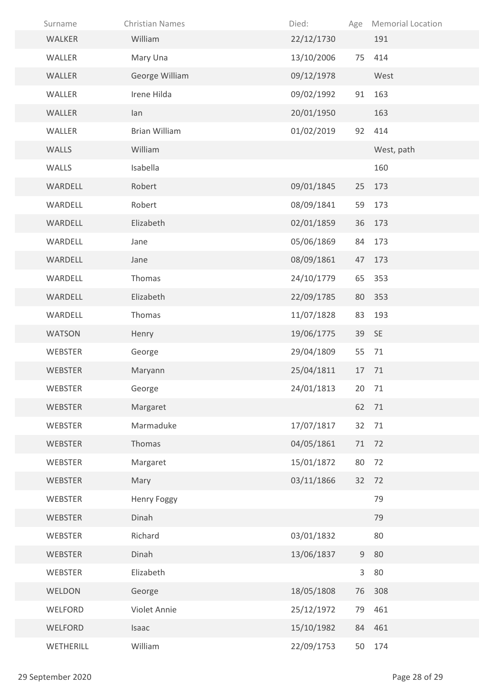| Surname        | <b>Christian Names</b> | Died:      | Age | <b>Memorial Location</b> |
|----------------|------------------------|------------|-----|--------------------------|
| WALKER         | William                | 22/12/1730 |     | 191                      |
| WALLER         | Mary Una               | 13/10/2006 | 75  | 414                      |
| WALLER         | George William         | 09/12/1978 |     | West                     |
| WALLER         | Irene Hilda            | 09/02/1992 | 91  | 163                      |
| WALLER         | lan                    | 20/01/1950 |     | 163                      |
| WALLER         | <b>Brian William</b>   | 01/02/2019 | 92  | 414                      |
| WALLS          | William                |            |     | West, path               |
| WALLS          | Isabella               |            |     | 160                      |
| WARDELL        | Robert                 | 09/01/1845 | 25  | 173                      |
| WARDELL        | Robert                 | 08/09/1841 | 59  | 173                      |
| WARDELL        | Elizabeth              | 02/01/1859 | 36  | 173                      |
| WARDELL        | Jane                   | 05/06/1869 | 84  | 173                      |
| WARDELL        | Jane                   | 08/09/1861 | 47  | 173                      |
| WARDELL        | Thomas                 | 24/10/1779 | 65  | 353                      |
| WARDELL        | Elizabeth              | 22/09/1785 | 80  | 353                      |
| WARDELL        | Thomas                 | 11/07/1828 | 83  | 193                      |
| <b>WATSON</b>  | Henry                  | 19/06/1775 | 39  | <b>SE</b>                |
| <b>WEBSTER</b> | George                 | 29/04/1809 | 55  | 71                       |
| <b>WEBSTER</b> | Maryann                | 25/04/1811 | 17  | 71                       |
| WEBSTER        | George                 | 24/01/1813 |     | 20 71                    |
| WEBSTER        | Margaret               |            |     | 62 71                    |
| WEBSTER        | Marmaduke              | 17/07/1817 | 32  | 71                       |
| <b>WEBSTER</b> | Thomas                 | 04/05/1861 | 71  | 72                       |
| WEBSTER        | Margaret               | 15/01/1872 | 80  | 72                       |
| WEBSTER        | Mary                   | 03/11/1866 | 32  | 72                       |
| WEBSTER        | <b>Henry Foggy</b>     |            |     | 79                       |
| WEBSTER        | Dinah                  |            |     | 79                       |
| WEBSTER        | Richard                | 03/01/1832 |     | 80                       |
| WEBSTER        | Dinah                  | 13/06/1837 | 9   | 80                       |
| WEBSTER        | Elizabeth              |            | 3   | 80                       |
| WELDON         | George                 | 18/05/1808 | 76  | 308                      |
| WELFORD        | Violet Annie           | 25/12/1972 | 79  | 461                      |
| WELFORD        | Isaac                  | 15/10/1982 | 84  | 461                      |
| WETHERILL      | William                | 22/09/1753 | 50  | 174                      |